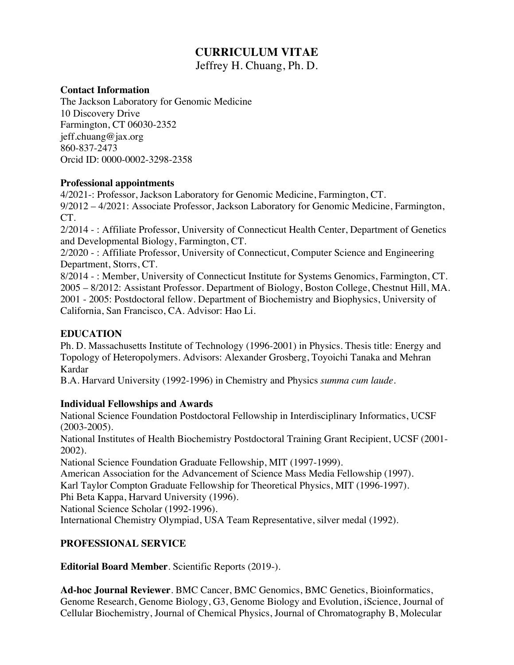# **CURRICULUM VITAE** Jeffrey H. Chuang, Ph. D.

## **Contact Information**

The Jackson Laboratory for Genomic Medicine 10 Discovery Drive Farmington, CT 06030-2352 jeff.chuang@jax.org 860-837-2473 Orcid ID: 0000-0002-3298-2358

#### **Professional appointments**

4/2021-: Professor, Jackson Laboratory for Genomic Medicine, Farmington, CT. 9/2012 – 4/2021: Associate Professor, Jackson Laboratory for Genomic Medicine, Farmington, CT.

2/2014 - : Affiliate Professor, University of Connecticut Health Center, Department of Genetics and Developmental Biology, Farmington, CT.

2/2020 - : Affiliate Professor, University of Connecticut, Computer Science and Engineering Department, Storrs, CT.

8/2014 - : Member, University of Connecticut Institute for Systems Genomics, Farmington, CT. 2005 – 8/2012: Assistant Professor. Department of Biology, Boston College, Chestnut Hill, MA. 2001 - 2005: Postdoctoral fellow. Department of Biochemistry and Biophysics, University of California, San Francisco, CA. Advisor: Hao Li.

# **EDUCATION**

Ph. D. Massachusetts Institute of Technology (1996-2001) in Physics. Thesis title: Energy and Topology of Heteropolymers. Advisors: Alexander Grosberg, Toyoichi Tanaka and Mehran Kardar

B.A. Harvard University (1992-1996) in Chemistry and Physics *summa cum laude.*

# **Individual Fellowships and Awards**

National Science Foundation Postdoctoral Fellowship in Interdisciplinary Informatics, UCSF (2003-2005).

National Institutes of Health Biochemistry Postdoctoral Training Grant Recipient, UCSF (2001- 2002).

National Science Foundation Graduate Fellowship, MIT (1997-1999).

American Association for the Advancement of Science Mass Media Fellowship (1997).

Karl Taylor Compton Graduate Fellowship for Theoretical Physics, MIT (1996-1997).

Phi Beta Kappa, Harvard University (1996).

National Science Scholar (1992-1996).

International Chemistry Olympiad, USA Team Representative, silver medal (1992).

# **PROFESSIONAL SERVICE**

**Editorial Board Member**. Scientific Reports (2019-).

**Ad-hoc Journal Reviewer**. BMC Cancer, BMC Genomics, BMC Genetics, Bioinformatics, Genome Research, Genome Biology, G3, Genome Biology and Evolution, iScience, Journal of Cellular Biochemistry, Journal of Chemical Physics, Journal of Chromatography B, Molecular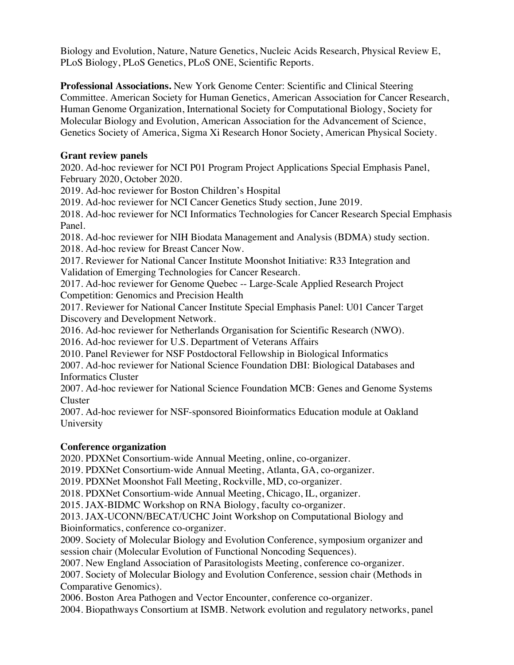Biology and Evolution, Nature, Nature Genetics, Nucleic Acids Research, Physical Review E, PLoS Biology, PLoS Genetics, PLoS ONE, Scientific Reports.

**Professional Associations.** New York Genome Center: Scientific and Clinical Steering Committee. American Society for Human Genetics, American Association for Cancer Research, Human Genome Organization, International Society for Computational Biology, Society for Molecular Biology and Evolution, American Association for the Advancement of Science, Genetics Society of America, Sigma Xi Research Honor Society, American Physical Society.

# **Grant review panels**

2020. Ad-hoc reviewer for NCI P01 Program Project Applications Special Emphasis Panel, February 2020, October 2020.

2019. Ad-hoc reviewer for Boston Children's Hospital

2019. Ad-hoc reviewer for NCI Cancer Genetics Study section, June 2019.

2018. Ad-hoc reviewer for NCI Informatics Technologies for Cancer Research Special Emphasis Panel.

2018. Ad-hoc reviewer for NIH Biodata Management and Analysis (BDMA) study section. 2018. Ad-hoc review for Breast Cancer Now.

2017. Reviewer for National Cancer Institute Moonshot Initiative: R33 Integration and Validation of Emerging Technologies for Cancer Research.

2017. Ad-hoc reviewer for Genome Quebec -- Large-Scale Applied Research Project Competition: Genomics and Precision Health

2017. Reviewer for National Cancer Institute Special Emphasis Panel: U01 Cancer Target Discovery and Development Network.

2016. Ad-hoc reviewer for Netherlands Organisation for Scientific Research (NWO).

2016. Ad-hoc reviewer for U.S. Department of Veterans Affairs

2010. Panel Reviewer for NSF Postdoctoral Fellowship in Biological Informatics

2007. Ad-hoc reviewer for National Science Foundation DBI: Biological Databases and Informatics Cluster

2007. Ad-hoc reviewer for National Science Foundation MCB: Genes and Genome Systems Cluster

2007. Ad-hoc reviewer for NSF-sponsored Bioinformatics Education module at Oakland University

# **Conference organization**

2020. PDXNet Consortium-wide Annual Meeting, online, co-organizer.

2019. PDXNet Consortium-wide Annual Meeting, Atlanta, GA, co-organizer.

2019. PDXNet Moonshot Fall Meeting, Rockville, MD, co-organizer.

2018. PDXNet Consortium-wide Annual Meeting, Chicago, IL, organizer.

2015. JAX-BIDMC Workshop on RNA Biology, faculty co-organizer.

2013. JAX-UCONN/BECAT/UCHC Joint Workshop on Computational Biology and Bioinformatics, conference co-organizer.

2009. Society of Molecular Biology and Evolution Conference, symposium organizer and session chair (Molecular Evolution of Functional Noncoding Sequences).

2007. New England Association of Parasitologists Meeting, conference co-organizer.

2007. Society of Molecular Biology and Evolution Conference, session chair (Methods in Comparative Genomics).

2006. Boston Area Pathogen and Vector Encounter, conference co-organizer.

2004. Biopathways Consortium at ISMB. Network evolution and regulatory networks, panel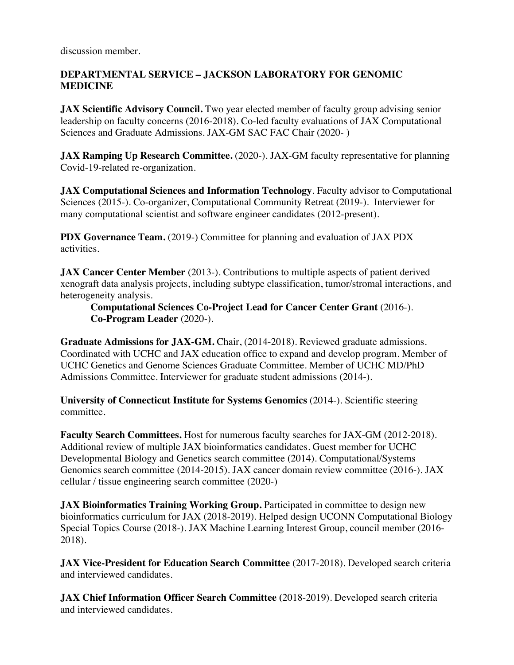discussion member.

# **DEPARTMENTAL SERVICE – JACKSON LABORATORY FOR GENOMIC MEDICINE**

**JAX Scientific Advisory Council.** Two year elected member of faculty group advising senior leadership on faculty concerns (2016-2018). Co-led faculty evaluations of JAX Computational Sciences and Graduate Admissions. JAX-GM SAC FAC Chair (2020- )

**JAX Ramping Up Research Committee.** (2020-). JAX-GM faculty representative for planning Covid-19-related re-organization.

**JAX Computational Sciences and Information Technology**. Faculty advisor to Computational Sciences (2015-). Co-organizer, Computational Community Retreat (2019-). Interviewer for many computational scientist and software engineer candidates (2012-present).

**PDX Governance Team.** (2019-) Committee for planning and evaluation of JAX PDX activities.

**JAX Cancer Center Member** (2013-). Contributions to multiple aspects of patient derived xenograft data analysis projects, including subtype classification, tumor/stromal interactions, and heterogeneity analysis.

# **Computational Sciences Co-Project Lead for Cancer Center Grant** (2016-). **Co-Program Leader** (2020-).

**Graduate Admissions for JAX-GM.** Chair, (2014-2018). Reviewed graduate admissions. Coordinated with UCHC and JAX education office to expand and develop program. Member of UCHC Genetics and Genome Sciences Graduate Committee. Member of UCHC MD/PhD Admissions Committee. Interviewer for graduate student admissions (2014-).

**University of Connecticut Institute for Systems Genomics** (2014-). Scientific steering committee.

**Faculty Search Committees.** Host for numerous faculty searches for JAX-GM (2012-2018). Additional review of multiple JAX bioinformatics candidates. Guest member for UCHC Developmental Biology and Genetics search committee (2014). Computational/Systems Genomics search committee (2014-2015). JAX cancer domain review committee (2016-). JAX cellular / tissue engineering search committee (2020-)

**JAX Bioinformatics Training Working Group.** Participated in committee to design new bioinformatics curriculum for JAX (2018-2019). Helped design UCONN Computational Biology Special Topics Course (2018-). JAX Machine Learning Interest Group, council member (2016- 2018).

**JAX Vice-President for Education Search Committee** (2017-2018). Developed search criteria and interviewed candidates.

**JAX Chief Information Officer Search Committee (**2018-2019). Developed search criteria and interviewed candidates.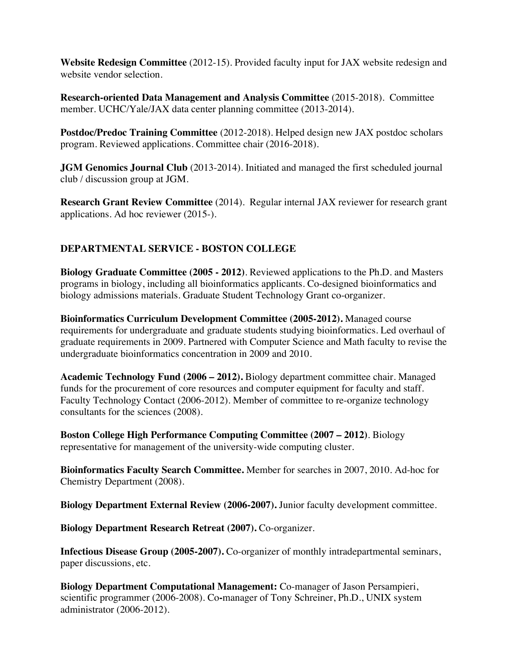**Website Redesign Committee** (2012-15). Provided faculty input for JAX website redesign and website vendor selection.

**Research-oriented Data Management and Analysis Committee** (2015-2018).Committee member. UCHC/Yale/JAX data center planning committee (2013-2014).

**Postdoc/Predoc Training Committee** (2012-2018). Helped design new JAX postdoc scholars program. Reviewed applications. Committee chair (2016-2018).

**JGM Genomics Journal Club** (2013-2014). Initiated and managed the first scheduled journal club / discussion group at JGM.

**Research Grant Review Committee** (2014). Regular internal JAX reviewer for research grant applications. Ad hoc reviewer (2015-).

# **DEPARTMENTAL SERVICE - BOSTON COLLEGE**

**Biology Graduate Committee (2005 - 2012)**. Reviewed applications to the Ph.D. and Masters programs in biology, including all bioinformatics applicants. Co-designed bioinformatics and biology admissions materials. Graduate Student Technology Grant co-organizer.

**Bioinformatics Curriculum Development Committee (2005-2012).** Managed course requirements for undergraduate and graduate students studying bioinformatics. Led overhaul of graduate requirements in 2009. Partnered with Computer Science and Math faculty to revise the undergraduate bioinformatics concentration in 2009 and 2010.

**Academic Technology Fund (2006 – 2012).** Biology department committee chair. Managed funds for the procurement of core resources and computer equipment for faculty and staff. Faculty Technology Contact (2006-2012). Member of committee to re-organize technology consultants for the sciences (2008).

**Boston College High Performance Computing Committee (2007 – 2012)**. Biology representative for management of the university-wide computing cluster.

**Bioinformatics Faculty Search Committee.** Member for searches in 2007, 2010. Ad-hoc for Chemistry Department (2008).

**Biology Department External Review (2006-2007).** Junior faculty development committee.

**Biology Department Research Retreat (2007).** Co-organizer.

**Infectious Disease Group (2005-2007).** Co-organizer of monthly intradepartmental seminars, paper discussions, etc.

**Biology Department Computational Management:** Co-manager of Jason Persampieri, scientific programmer (2006-2008). Co**-**manager of Tony Schreiner, Ph.D., UNIX system administrator (2006-2012).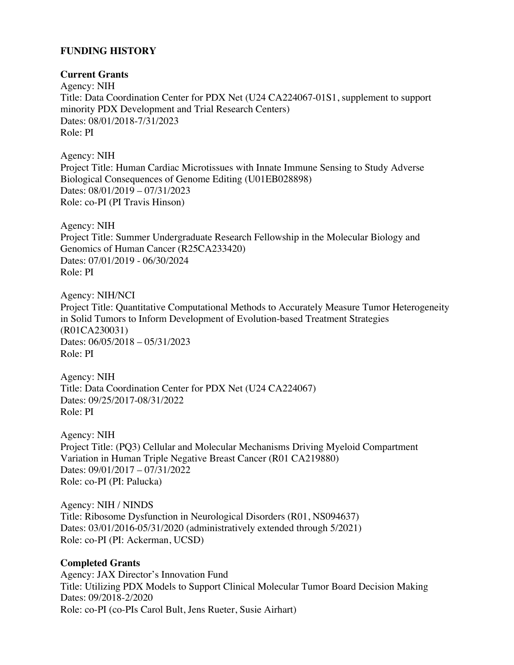# **FUNDING HISTORY**

## **Current Grants**

Agency: NIH Title: Data Coordination Center for PDX Net (U24 CA224067-01S1, supplement to support minority PDX Development and Trial Research Centers) Dates: 08/01/2018-7/31/2023 Role: PI

Agency: NIH Project Title: Human Cardiac Microtissues with Innate Immune Sensing to Study Adverse Biological Consequences of Genome Editing (U01EB028898) Dates: 08/01/2019 – 07/31/2023 Role: co-PI (PI Travis Hinson)

Agency: NIH Project Title: Summer Undergraduate Research Fellowship in the Molecular Biology and Genomics of Human Cancer (R25CA233420) Dates: 07/01/2019 - 06/30/2024 Role: PI

Agency: NIH/NCI Project Title: Quantitative Computational Methods to Accurately Measure Tumor Heterogeneity in Solid Tumors to Inform Development of Evolution-based Treatment Strategies (R01CA230031) Dates: 06/05/2018 – 05/31/2023 Role: PI

Agency: NIH Title: Data Coordination Center for PDX Net (U24 CA224067) Dates: 09/25/2017-08/31/2022 Role: PI

Agency: NIH Project Title: (PQ3) Cellular and Molecular Mechanisms Driving Myeloid Compartment Variation in Human Triple Negative Breast Cancer (R01 CA219880) Dates: 09/01/2017 – 07/31/2022 Role: co-PI (PI: Palucka)

Agency: NIH / NINDS Title: Ribosome Dysfunction in Neurological Disorders (R01, NS094637) Dates: 03/01/2016-05/31/2020 (administratively extended through 5/2021) Role: co-PI (PI: Ackerman, UCSD)

# **Completed Grants**

Agency: JAX Director's Innovation Fund Title: Utilizing PDX Models to Support Clinical Molecular Tumor Board Decision Making Dates: 09/2018-2/2020 Role: co-PI (co-PIs Carol Bult, Jens Rueter, Susie Airhart)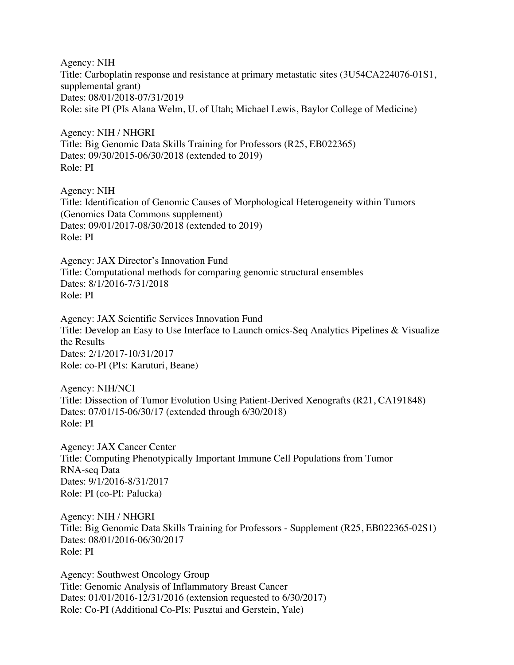Agency: NIH Title: Carboplatin response and resistance at primary metastatic sites (3U54CA224076-01S1, supplemental grant) Dates: 08/01/2018-07/31/2019 Role: site PI (PIs Alana Welm, U. of Utah; Michael Lewis, Baylor College of Medicine)

Agency: NIH / NHGRI Title: Big Genomic Data Skills Training for Professors (R25, EB022365) Dates: 09/30/2015-06/30/2018 (extended to 2019) Role: PI

Agency: NIH Title: Identification of Genomic Causes of Morphological Heterogeneity within Tumors (Genomics Data Commons supplement) Dates: 09/01/2017-08/30/2018 (extended to 2019) Role: PI

Agency: JAX Director's Innovation Fund Title: Computational methods for comparing genomic structural ensembles Dates: 8/1/2016-7/31/2018 Role: PI

Agency: JAX Scientific Services Innovation Fund Title: Develop an Easy to Use Interface to Launch omics-Seq Analytics Pipelines & Visualize the Results Dates: 2/1/2017-10/31/2017 Role: co-PI (PIs: Karuturi, Beane)

Agency: NIH/NCI Title: Dissection of Tumor Evolution Using Patient-Derived Xenografts (R21, CA191848) Dates: 07/01/15-06/30/17 (extended through 6/30/2018) Role: PI

Agency: JAX Cancer Center Title: Computing Phenotypically Important Immune Cell Populations from Tumor RNA-seq Data Dates: 9/1/2016-8/31/2017 Role: PI (co-PI: Palucka)

Agency: NIH / NHGRI Title: Big Genomic Data Skills Training for Professors - Supplement (R25, EB022365-02S1) Dates: 08/01/2016-06/30/2017 Role: PI

Agency: Southwest Oncology Group Title: Genomic Analysis of Inflammatory Breast Cancer Dates: 01/01/2016-12/31/2016 (extension requested to 6/30/2017) Role: Co-PI (Additional Co-PIs: Pusztai and Gerstein, Yale)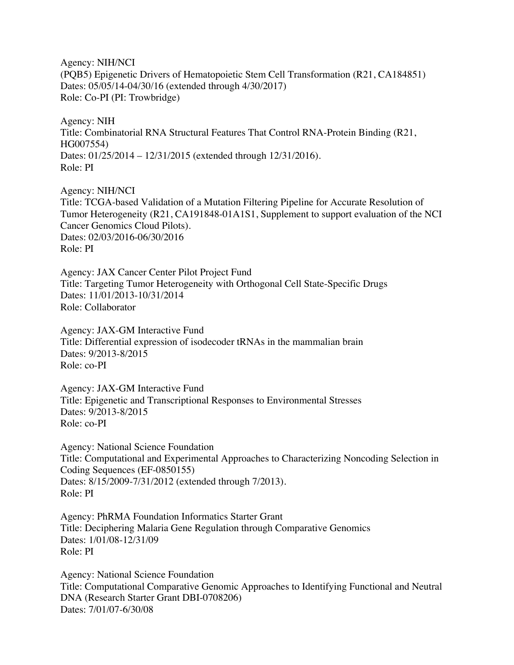Agency: NIH/NCI (PQB5) Epigenetic Drivers of Hematopoietic Stem Cell Transformation (R21, CA184851) Dates: 05/05/14-04/30/16 (extended through 4/30/2017) Role: Co-PI (PI: Trowbridge)

Agency: NIH Title: Combinatorial RNA Structural Features That Control RNA-Protein Binding (R21, HG007554) Dates: 01/25/2014 – 12/31/2015 (extended through 12/31/2016). Role: PI

Agency: NIH/NCI Title: TCGA-based Validation of a Mutation Filtering Pipeline for Accurate Resolution of Tumor Heterogeneity (R21, CA191848-01A1S1, Supplement to support evaluation of the NCI Cancer Genomics Cloud Pilots). Dates: 02/03/2016-06/30/2016 Role: PI

Agency: JAX Cancer Center Pilot Project Fund Title: Targeting Tumor Heterogeneity with Orthogonal Cell State-Specific Drugs Dates: 11/01/2013-10/31/2014 Role: Collaborator

Agency: JAX-GM Interactive Fund Title: Differential expression of isodecoder tRNAs in the mammalian brain Dates: 9/2013-8/2015 Role: co-PI

Agency: JAX-GM Interactive Fund Title: Epigenetic and Transcriptional Responses to Environmental Stresses Dates: 9/2013-8/2015 Role: co-PI

Agency: National Science Foundation Title: Computational and Experimental Approaches to Characterizing Noncoding Selection in Coding Sequences (EF-0850155) Dates: 8/15/2009-7/31/2012 (extended through 7/2013). Role: PI

Agency: PhRMA Foundation Informatics Starter Grant Title: Deciphering Malaria Gene Regulation through Comparative Genomics Dates: 1/01/08-12/31/09 Role: PI

Agency: National Science Foundation Title: Computational Comparative Genomic Approaches to Identifying Functional and Neutral DNA (Research Starter Grant DBI-0708206) Dates: 7/01/07-6/30/08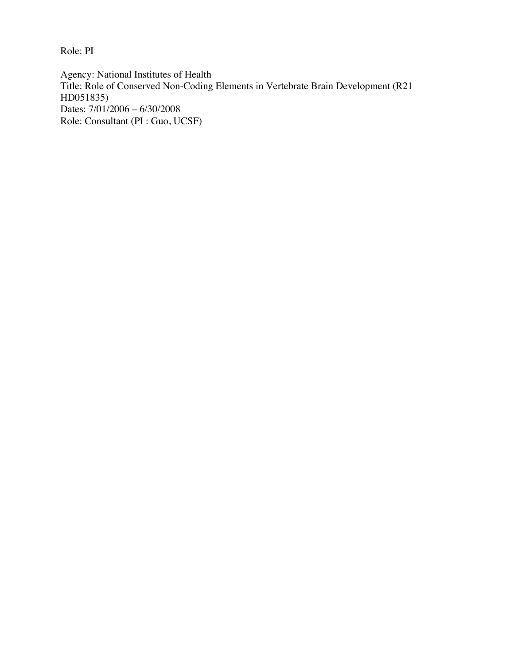Role: PI

Agency: National Institutes of Health Title: Role of Conserved Non-Coding Elements in Vertebrate Brain Development (R21 HD051835) Dates: 7/01/2006 – 6/30/2008 Role: Consultant (PI : Guo, UCSF)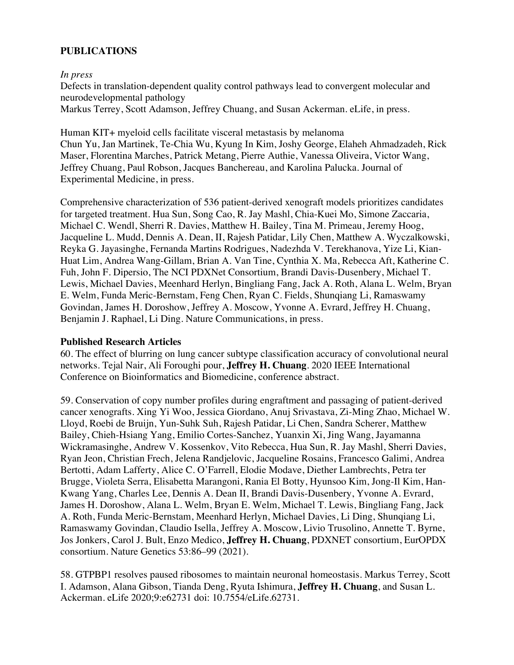# **PUBLICATIONS**

*In press*

Defects in translation-dependent quality control pathways lead to convergent molecular and neurodevelopmental pathology

Markus Terrey, Scott Adamson, Jeffrey Chuang, and Susan Ackerman. eLife, in press.

Human KIT+ myeloid cells facilitate visceral metastasis by melanoma Chun Yu, Jan Martinek, Te-Chia Wu, Kyung In Kim, Joshy George, Elaheh Ahmadzadeh, Rick Maser, Florentina Marches, Patrick Metang, Pierre Authie, Vanessa Oliveira, Victor Wang, Jeffrey Chuang, Paul Robson, Jacques Banchereau, and Karolina Palucka. Journal of Experimental Medicine, in press.

Comprehensive characterization of 536 patient-derived xenograft models prioritizes candidates for targeted treatment. Hua Sun, Song Cao, R. Jay Mashl, Chia-Kuei Mo, Simone Zaccaria, Michael C. Wendl, Sherri R. Davies, Matthew H. Bailey, Tina M. Primeau, Jeremy Hoog, Jacqueline L. Mudd, Dennis A. Dean, II, Rajesh Patidar, Lily Chen, Matthew A. Wyczalkowski, Reyka G. Jayasinghe, Fernanda Martins Rodrigues, Nadezhda V. Terekhanova, Yize Li, Kian-Huat Lim, Andrea Wang-Gillam, Brian A. Van Tine, Cynthia X. Ma, Rebecca Aft, Katherine C. Fuh, John F. Dipersio, The NCI PDXNet Consortium, Brandi Davis-Dusenbery, Michael T. Lewis, Michael Davies, Meenhard Herlyn, Bingliang Fang, Jack A. Roth, Alana L. Welm, Bryan E. Welm, Funda Meric-Bernstam, Feng Chen, Ryan C. Fields, Shunqiang Li, Ramaswamy Govindan, James H. Doroshow, Jeffrey A. Moscow, Yvonne A. Evrard, Jeffrey H. Chuang, Benjamin J. Raphael, Li Ding. Nature Communications, in press.

#### **Published Research Articles**

60. The effect of blurring on lung cancer subtype classification accuracy of convolutional neural networks. Tejal Nair, Ali Foroughi pour, **Jeffrey H. Chuang**. 2020 IEEE International Conference on Bioinformatics and Biomedicine, conference abstract.

59. Conservation of copy number profiles during engraftment and passaging of patient-derived cancer xenografts. Xing Yi Woo, Jessica Giordano, Anuj Srivastava, Zi-Ming Zhao, Michael W. Lloyd, Roebi de Bruijn, Yun-Suhk Suh, Rajesh Patidar, Li Chen, Sandra Scherer, Matthew Bailey, Chieh-Hsiang Yang, Emilio Cortes-Sanchez, Yuanxin Xi, Jing Wang, Jayamanna Wickramasinghe, Andrew V. Kossenkov, Vito Rebecca, Hua Sun, R. Jay Mashl, Sherri Davies, Ryan Jeon, Christian Frech, Jelena Randjelovic, Jacqueline Rosains, Francesco Galimi, Andrea Bertotti, Adam Lafferty, Alice C. O'Farrell, Elodie Modave, Diether Lambrechts, Petra ter Brugge, Violeta Serra, Elisabetta Marangoni, Rania El Botty, Hyunsoo Kim, Jong-Il Kim, Han-Kwang Yang, Charles Lee, Dennis A. Dean II, Brandi Davis-Dusenbery, Yvonne A. Evrard, James H. Doroshow, Alana L. Welm, Bryan E. Welm, Michael T. Lewis, Bingliang Fang, Jack A. Roth, Funda Meric-Bernstam, Meenhard Herlyn, Michael Davies, Li Ding, Shunqiang Li, Ramaswamy Govindan, Claudio Isella, Jeffrey A. Moscow, Livio Trusolino, Annette T. Byrne, Jos Jonkers, Carol J. Bult, Enzo Medico, **Jeffrey H. Chuang**, PDXNET consortium, EurOPDX consortium. Nature Genetics 53:86–99 (2021).

58. GTPBP1 resolves paused ribosomes to maintain neuronal homeostasis. Markus Terrey, Scott I. Adamson, Alana Gibson, Tianda Deng, Ryuta Ishimura, **Jeffrey H. Chuang**, and Susan L. Ackerman. eLife 2020;9:e62731 doi: 10.7554/eLife.62731.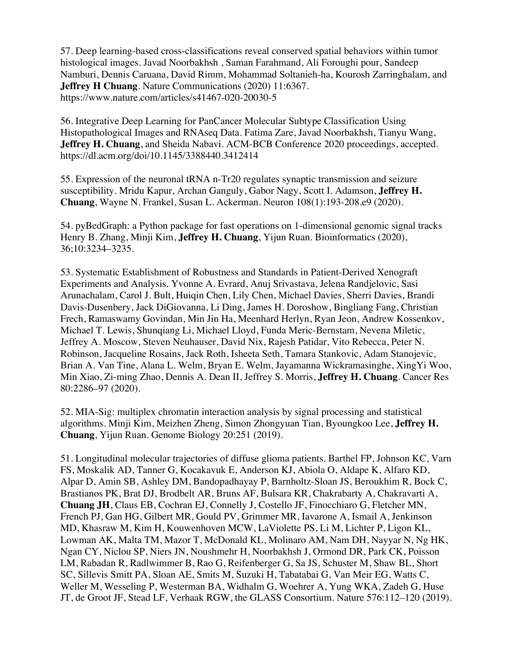57. Deep learning-based cross-classifications reveal conserved spatial behaviors within tumor histological images. Javad Noorbakhsh , Saman Farahmand, Ali Foroughi pour, Sandeep Namburi, Dennis Caruana, David Rimm, Mohammad Soltanieh-ha, Kourosh Zarringhalam, and **Jeffrey H Chuang**. Nature Communications (2020) 11:6367. https://www.nature.com/articles/s41467-020-20030-5

56. Integrative Deep Learning for PanCancer Molecular Subtype Classification Using Histopathological Images and RNAseq Data. Fatima Zare, Javad Noorbakhsh, Tianyu Wang, **Jeffrey H. Chuang**, and Sheida Nabavi. ACM-BCB Conference 2020 proceedings, accepted. https://dl.acm.org/doi/10.1145/3388440.3412414

55. Expression of the neuronal tRNA n-Tr20 regulates synaptic transmission and seizure susceptibility. Mridu Kapur, Archan Ganguly, Gabor Nagy, Scott I. Adamson, **Jeffrey H. Chuang**, Wayne N. Frankel, Susan L. Ackerman. Neuron 108(1):193-208.e9 (2020).

54. pyBedGraph: a Python package for fast operations on 1-dimensional genomic signal tracks Henry B. Zhang, Minji Kim, **Jeffrey H. Chuang**, Yijun Ruan. Bioinformatics (2020), 36;10:3234–3235.

53. Systematic Establishment of Robustness and Standards in Patient-Derived Xenograft Experiments and Analysis. Yvonne A. Evrard, Anuj Srivastava, Jelena Randjelovic, Sasi Arunachalam, Carol J. Bult, Huiqin Chen, Lily Chen, Michael Davies, Sherri Davies, Brandi Davis-Dusenbery, Jack DiGiovanna, Li Ding, James H. Doroshow, Bingliang Fang, Christian Frech, Ramaswamy Govindan, Min Jin Ha, Meenhard Herlyn, Ryan Jeon, Andrew Kossenkov, Michael T. Lewis, Shunqiang Li, Michael Lloyd, Funda Meric-Bernstam, Nevena Miletic, Jeffrey A. Moscow, Steven Neuhauser, David Nix, Rajesh Patidar, Vito Rebecca, Peter N. Robinson, Jacqueline Rosains, Jack Roth, Isheeta Seth, Tamara Stankovic, Adam Stanojevic, Brian A. Van Tine, Alana L. Welm, Bryan E. Welm, Jayamanna Wickramasinghe, XingYi Woo, Min Xiao, Zi-ming Zhao, Dennis A. Dean II, Jeffrey S. Morris, **Jeffrey H. Chuang**. Cancer Res 80:2286–97 (2020).

52. MIA-Sig: multiplex chromatin interaction analysis by signal processing and statistical algorithms. Minji Kim, Meizhen Zheng, Simon Zhongyuan Tian, Byoungkoo Lee, **Jeffrey H. Chuang**, Yijun Ruan. Genome Biology 20:251 (2019).

51. Longitudinal molecular trajectories of diffuse glioma patients. Barthel FP, Johnson KC, Varn FS, Moskalik AD, Tanner G, Kocakavuk E, Anderson KJ, Abiola O, Aldape K, Alfaro KD, Alpar D, Amin SB, Ashley DM, Bandopadhayay P, Barnholtz-Sloan JS, Beroukhim R, Bock C, Brastianos PK, Brat DJ, Brodbelt AR, Bruns AF, Bulsara KR, Chakrabarty A, Chakravarti A, **Chuang JH**, Claus EB, Cochran EJ, Connelly J, Costello JF, Finocchiaro G, Fletcher MN, French PJ, Gan HG, Gilbert MR, Gould PV, Grimmer MR, Iavarone A, Ismail A, Jenkinson MD, Khasraw M, Kim H, Kouwenhoven MCW, LaViolette PS, Li M, Lichter P, Ligon KL, Lowman AK, Malta TM, Mazor T, McDonald KL, Molinaro AM, Nam DH, Nayyar N, Ng HK, Ngan CY, Niclou SP, Niers JN, Noushmehr H, Noorbakhsh J, Ormond DR, Park CK, Poisson LM, Rabadan R, Radlwimmer B, Rao G, Reifenberger G, Sa JS, Schuster M, Shaw BL, Short SC, Sillevis Smitt PA, Sloan AE, Smits M, Suzuki H, Tabatabai G, Van Meir EG, Watts C, Weller M, Wesseling P, Westerman BA, Widhalm G, Woehrer A, Yung WKA, Zadeh G, Huse JT, de Groot JF, Stead LF, Verhaak RGW, the GLASS Consortium. Nature 576:112–120 (2019).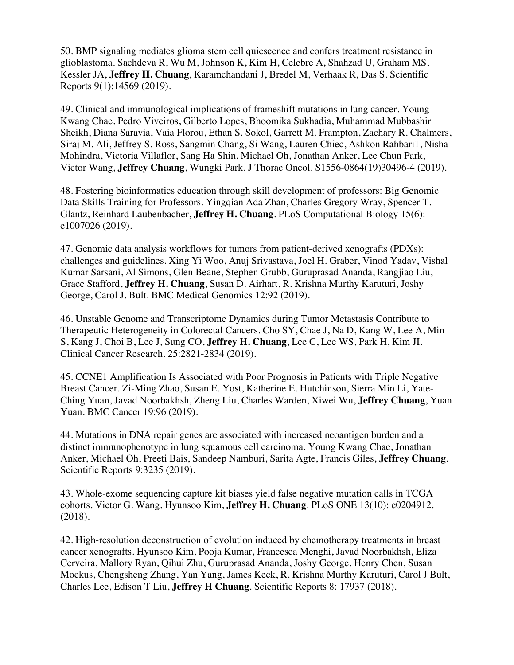50. BMP signaling mediates glioma stem cell quiescence and confers treatment resistance in glioblastoma. Sachdeva R, Wu M, Johnson K, Kim H, Celebre A, Shahzad U, Graham MS, Kessler JA, **Jeffrey H. Chuang**, Karamchandani J, Bredel M, Verhaak R, Das S. Scientific Reports 9(1):14569 (2019).

49. Clinical and immunological implications of frameshift mutations in lung cancer. Young Kwang Chae, Pedro Viveiros, Gilberto Lopes, Bhoomika Sukhadia, Muhammad Mubbashir Sheikh, Diana Saravia, Vaia Florou, Ethan S. Sokol, Garrett M. Frampton, Zachary R. Chalmers, Siraj M. Ali, Jeffrey S. Ross, Sangmin Chang, Si Wang, Lauren Chiec, Ashkon Rahbari1, Nisha Mohindra, Victoria Villaflor, Sang Ha Shin, Michael Oh, Jonathan Anker, Lee Chun Park, Victor Wang, **Jeffrey Chuang**, Wungki Park. J Thorac Oncol. S1556-0864(19)30496-4 (2019).

48. Fostering bioinformatics education through skill development of professors: Big Genomic Data Skills Training for Professors. Yingqian Ada Zhan, Charles Gregory Wray, Spencer T. Glantz, Reinhard Laubenbacher, **Jeffrey H. Chuang**. PLoS Computational Biology 15(6): e1007026 (2019).

47. Genomic data analysis workflows for tumors from patient-derived xenografts (PDXs): challenges and guidelines. Xing Yi Woo, Anuj Srivastava, Joel H. Graber, Vinod Yadav, Vishal Kumar Sarsani, Al Simons, Glen Beane, Stephen Grubb, Guruprasad Ananda, Rangjiao Liu, Grace Stafford, **Jeffrey H. Chuang**, Susan D. Airhart, R. Krishna Murthy Karuturi, Joshy George, Carol J. Bult. BMC Medical Genomics 12:92 (2019).

46. Unstable Genome and Transcriptome Dynamics during Tumor Metastasis Contribute to Therapeutic Heterogeneity in Colorectal Cancers. Cho SY, Chae J, Na D, Kang W, Lee A, Min S, Kang J, Choi B, Lee J, Sung CO, **Jeffrey H. Chuang**, Lee C, Lee WS, Park H, Kim JI. Clinical Cancer Research. 25:2821-2834 (2019).

45. CCNE1 Amplification Is Associated with Poor Prognosis in Patients with Triple Negative Breast Cancer. Zi-Ming Zhao, Susan E. Yost, Katherine E. Hutchinson, Sierra Min Li, Yate-Ching Yuan, Javad Noorbakhsh, Zheng Liu, Charles Warden, Xiwei Wu, **Jeffrey Chuang**, Yuan Yuan. BMC Cancer 19:96 (2019).

44. Mutations in DNA repair genes are associated with increased neoantigen burden and a distinct immunophenotype in lung squamous cell carcinoma. Young Kwang Chae, Jonathan Anker, Michael Oh, Preeti Bais, Sandeep Namburi, Sarita Agte, Francis Giles, **Jeffrey Chuang**. Scientific Reports 9:3235 (2019).

43. Whole-exome sequencing capture kit biases yield false negative mutation calls in TCGA cohorts. Victor G. Wang, Hyunsoo Kim, **Jeffrey H. Chuang**. PLoS ONE 13(10): e0204912. (2018).

42. High-resolution deconstruction of evolution induced by chemotherapy treatments in breast cancer xenografts. Hyunsoo Kim, Pooja Kumar, Francesca Menghi, Javad Noorbakhsh, Eliza Cerveira, Mallory Ryan, Qihui Zhu, Guruprasad Ananda, Joshy George, Henry Chen, Susan Mockus, Chengsheng Zhang, Yan Yang, James Keck, R. Krishna Murthy Karuturi, Carol J Bult, Charles Lee, Edison T Liu, **Jeffrey H Chuang**. Scientific Reports 8: 17937 (2018).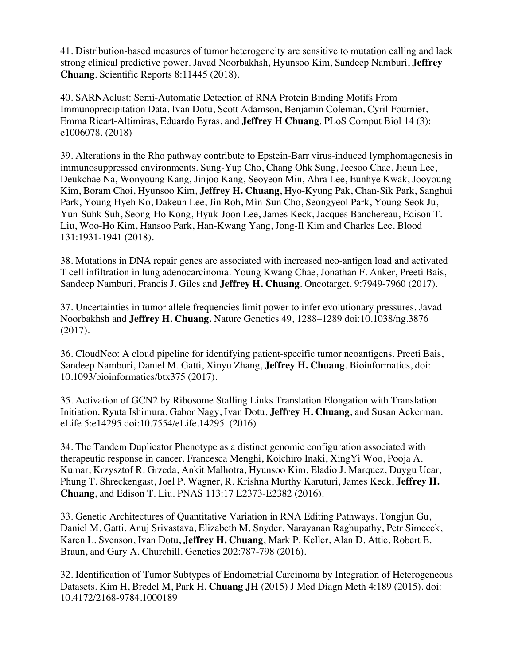41. Distribution-based measures of tumor heterogeneity are sensitive to mutation calling and lack strong clinical predictive power. Javad Noorbakhsh, Hyunsoo Kim, Sandeep Namburi, **Jeffrey Chuang**. Scientific Reports 8:11445 (2018).

40. SARNAclust: Semi-Automatic Detection of RNA Protein Binding Motifs From Immunoprecipitation Data. Ivan Dotu, Scott Adamson, Benjamin Coleman, Cyril Fournier, Emma Ricart-Altimiras, Eduardo Eyras, and **Jeffrey H Chuang**. PLoS Comput Biol 14 (3): e1006078. (2018)

39. Alterations in the Rho pathway contribute to Epstein-Barr virus-induced lymphomagenesis in immunosuppressed environments. Sung-Yup Cho, Chang Ohk Sung, Jeesoo Chae, Jieun Lee, Deukchae Na, Wonyoung Kang, Jinjoo Kang, Seoyeon Min, Ahra Lee, Eunhye Kwak, Jooyoung Kim, Boram Choi, Hyunsoo Kim, **Jeffrey H. Chuang**, Hyo-Kyung Pak, Chan-Sik Park, Sanghui Park, Young Hyeh Ko, Dakeun Lee, Jin Roh, Min-Sun Cho, Seongyeol Park, Young Seok Ju, Yun-Suhk Suh, Seong-Ho Kong, Hyuk-Joon Lee, James Keck, Jacques Banchereau, Edison T. Liu, Woo-Ho Kim, Hansoo Park, Han-Kwang Yang, Jong-Il Kim and Charles Lee. Blood 131:1931-1941 (2018).

38. Mutations in DNA repair genes are associated with increased neo-antigen load and activated T cell infiltration in lung adenocarcinoma. Young Kwang Chae, Jonathan F. Anker, Preeti Bais, Sandeep Namburi, Francis J. Giles and **Jeffrey H. Chuang**. Oncotarget. 9:7949-7960 (2017).

37. Uncertainties in tumor allele frequencies limit power to infer evolutionary pressures. Javad Noorbakhsh and **Jeffrey H. Chuang.** Nature Genetics 49, 1288–1289 doi:10.1038/ng.3876 (2017).

36. CloudNeo: A cloud pipeline for identifying patient-specific tumor neoantigens. Preeti Bais, Sandeep Namburi, Daniel M. Gatti, Xinyu Zhang, **Jeffrey H. Chuang**. Bioinformatics, doi: 10.1093/bioinformatics/btx375 (2017).

35. Activation of GCN2 by Ribosome Stalling Links Translation Elongation with Translation Initiation. Ryuta Ishimura, Gabor Nagy, Ivan Dotu, **Jeffrey H. Chuang**, and Susan Ackerman. eLife 5:e14295 doi:10.7554/eLife.14295. (2016)

34. The Tandem Duplicator Phenotype as a distinct genomic configuration associated with therapeutic response in cancer. Francesca Menghi, Koichiro Inaki, XingYi Woo, Pooja A. Kumar, Krzysztof R. Grzeda, Ankit Malhotra, Hyunsoo Kim, Eladio J. Marquez, Duygu Ucar, Phung T. Shreckengast, Joel P. Wagner, R. Krishna Murthy Karuturi, James Keck, **Jeffrey H. Chuang**, and Edison T. Liu. PNAS 113:17 E2373-E2382 (2016).

33. Genetic Architectures of Quantitative Variation in RNA Editing Pathways. Tongjun Gu, Daniel M. Gatti, Anuj Srivastava, Elizabeth M. Snyder, Narayanan Raghupathy, Petr Simecek, Karen L. Svenson, Ivan Dotu, **Jeffrey H. Chuang**, Mark P. Keller, Alan D. Attie, Robert E. Braun, and Gary A. Churchill. Genetics 202:787-798 (2016).

32. Identification of Tumor Subtypes of Endometrial Carcinoma by Integration of Heterogeneous Datasets. Kim H, Bredel M, Park H, **Chuang JH** (2015) J Med Diagn Meth 4:189 (2015). doi: 10.4172/2168-9784.1000189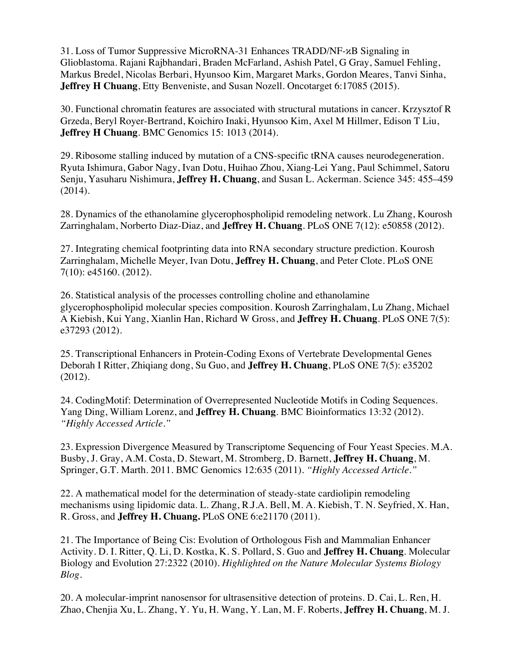31. Loss of Tumor Suppressive MicroRNA-31 Enhances TRADD/NF-κB Signaling in Glioblastoma. Rajani Rajbhandari, Braden McFarland, Ashish Patel, G Gray, Samuel Fehling, Markus Bredel, Nicolas Berbari, Hyunsoo Kim, Margaret Marks, Gordon Meares, Tanvi Sinha, **Jeffrey H Chuang**, Etty Benveniste, and Susan Nozell. Oncotarget 6:17085 (2015).

30. Functional chromatin features are associated with structural mutations in cancer. Krzysztof R Grzeda, Beryl Royer-Bertrand, Koichiro Inaki, Hyunsoo Kim, Axel M Hillmer, Edison T Liu, **Jeffrey H Chuang**. BMC Genomics 15: 1013 (2014).

29. Ribosome stalling induced by mutation of a CNS-specific tRNA causes neurodegeneration. Ryuta Ishimura, Gabor Nagy, Ivan Dotu, Huihao Zhou, Xiang-Lei Yang, Paul Schimmel, Satoru Senju, Yasuharu Nishimura, **Jeffrey H. Chuang**, and Susan L. Ackerman. Science 345: 455–459 (2014).

28. Dynamics of the ethanolamine glycerophospholipid remodeling network. Lu Zhang, Kourosh Zarringhalam, Norberto Diaz-Diaz, and **Jeffrey H. Chuang**. PLoS ONE 7(12): e50858 (2012).

27. Integrating chemical footprinting data into RNA secondary structure prediction. Kourosh Zarringhalam, Michelle Meyer, Ivan Dotu, **Jeffrey H. Chuang**, and Peter Clote. PLoS ONE 7(10): e45160. (2012).

26. Statistical analysis of the processes controlling choline and ethanolamine glycerophospholipid molecular species composition. Kourosh Zarringhalam, Lu Zhang, Michael A Kiebish, Kui Yang, Xianlin Han, Richard W Gross, and **Jeffrey H. Chuang**. PLoS ONE 7(5): e37293 (2012).

25. Transcriptional Enhancers in Protein-Coding Exons of Vertebrate Developmental Genes Deborah I Ritter, Zhiqiang dong, Su Guo, and **Jeffrey H. Chuang**, PLoS ONE 7(5): e35202 (2012).

24. CodingMotif: Determination of Overrepresented Nucleotide Motifs in Coding Sequences. Yang Ding, William Lorenz, and **Jeffrey H. Chuang**. BMC Bioinformatics 13:32 (2012). *"Highly Accessed Article."*

23. Expression Divergence Measured by Transcriptome Sequencing of Four Yeast Species. M.A. Busby, J. Gray, A.M. Costa, D. Stewart, M. Stromberg, D. Barnett, **Jeffrey H. Chuang**, M. Springer, G.T. Marth. 2011. BMC Genomics 12:635 (2011). *"Highly Accessed Article."*

22. A mathematical model for the determination of steady-state cardiolipin remodeling mechanisms using lipidomic data. L. Zhang, R.J.A. Bell, M. A. Kiebish, T. N. Seyfried, X. Han, R. Gross, and **Jeffrey H. Chuang.** PLoS ONE 6:e21170 (2011)*.* 

21. The Importance of Being Cis: Evolution of Orthologous Fish and Mammalian Enhancer Activity. D. I. Ritter, Q. Li, D. Kostka, K. S. Pollard, S. Guo and **Jeffrey H. Chuang**. Molecular Biology and Evolution 27:2322 (2010). *Highlighted on the Nature Molecular Systems Biology Blog.*

20. A molecular-imprint nanosensor for ultrasensitive detection of proteins. D. Cai, L. Ren, H. Zhao, Chenjia Xu, L. Zhang, Y. Yu, H. Wang, Y. Lan, M. F. Roberts, **Jeffrey H. Chuang**, M. J.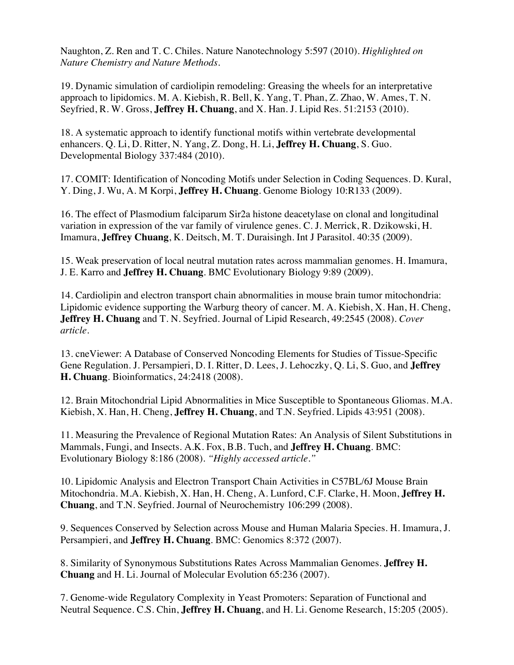Naughton, Z. Ren and T. C. Chiles. Nature Nanotechnology 5:597 (2010). *Highlighted on Nature Chemistry and Nature Methods.*

19. Dynamic simulation of cardiolipin remodeling: Greasing the wheels for an interpretative approach to lipidomics. M. A. Kiebish, R. Bell, K. Yang, T. Phan, Z. Zhao, W. Ames, T. N. Seyfried, R. W. Gross, **Jeffrey H. Chuang**, and X. Han. J. Lipid Res. 51:2153 (2010).

18. A systematic approach to identify functional motifs within vertebrate developmental enhancers. Q. Li, D. Ritter, N. Yang, Z. Dong, H. Li, **Jeffrey H. Chuang**, S. Guo. Developmental Biology 337:484 (2010).

17. COMIT: Identification of Noncoding Motifs under Selection in Coding Sequences. D. Kural, Y. Ding, J. Wu, A. M Korpi, **Jeffrey H. Chuang**. Genome Biology 10:R133 (2009).

16. The effect of Plasmodium falciparum Sir2a histone deacetylase on clonal and longitudinal variation in expression of the var family of virulence genes. C. J. Merrick, R. Dzikowski, H. Imamura, **Jeffrey Chuang**, K. Deitsch, M. T. Duraisingh. Int J Parasitol. 40:35 (2009).

15. Weak preservation of local neutral mutation rates across mammalian genomes. H. Imamura, J. E. Karro and **Jeffrey H. Chuang**. BMC Evolutionary Biology 9:89 (2009).

14. Cardiolipin and electron transport chain abnormalities in mouse brain tumor mitochondria: Lipidomic evidence supporting the Warburg theory of cancer. M. A. Kiebish, X. Han, H. Cheng, **Jeffrey H. Chuang** and T. N. Seyfried. Journal of Lipid Research, 49:2545 (2008). *Cover article.*

13. cneViewer: A Database of Conserved Noncoding Elements for Studies of Tissue-Specific Gene Regulation. J. Persampieri, D. I. Ritter, D. Lees, J. Lehoczky, Q. Li, S. Guo, and **Jeffrey H. Chuang**. Bioinformatics, 24:2418 (2008).

12. Brain Mitochondrial Lipid Abnormalities in Mice Susceptible to Spontaneous Gliomas. M.A. Kiebish, X. Han, H. Cheng, **Jeffrey H. Chuang**, and T.N. Seyfried. Lipids 43:951 (2008).

11. Measuring the Prevalence of Regional Mutation Rates: An Analysis of Silent Substitutions in Mammals, Fungi, and Insects. A.K. Fox, B.B. Tuch, and **Jeffrey H. Chuang**. BMC: Evolutionary Biology 8:186 (2008). *"Highly accessed article."*

10. Lipidomic Analysis and Electron Transport Chain Activities in C57BL/6J Mouse Brain Mitochondria. M.A. Kiebish, X. Han, H. Cheng, A. Lunford, C.F. Clarke, H. Moon, **Jeffrey H. Chuang**, and T.N. Seyfried. Journal of Neurochemistry 106:299 (2008).

9. Sequences Conserved by Selection across Mouse and Human Malaria Species. H. Imamura, J. Persampieri, and **Jeffrey H. Chuang**. BMC: Genomics 8:372 (2007).

8. Similarity of Synonymous Substitutions Rates Across Mammalian Genomes. **Jeffrey H. Chuang** and H. Li. Journal of Molecular Evolution 65:236 (2007).

7. Genome-wide Regulatory Complexity in Yeast Promoters: Separation of Functional and Neutral Sequence. C.S. Chin, **Jeffrey H. Chuang**, and H. Li. Genome Research, 15:205 (2005).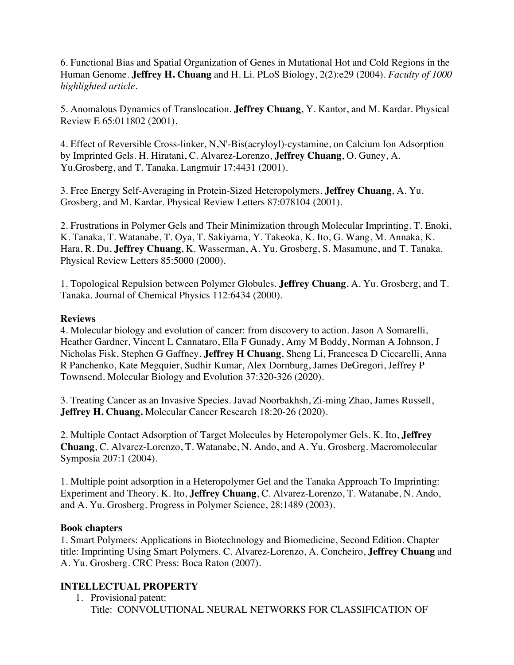6. Functional Bias and Spatial Organization of Genes in Mutational Hot and Cold Regions in the Human Genome. **Jeffrey H. Chuang** and H. Li. PLoS Biology, 2(2):e29 (2004). *Faculty of 1000 highlighted article.*

5. Anomalous Dynamics of Translocation. **Jeffrey Chuang**, Y. Kantor, and M. Kardar. Physical Review E 65:011802 (2001).

4. Effect of Reversible Cross-linker, N,N'-Bis(acryloyl)-cystamine, on Calcium Ion Adsorption by Imprinted Gels. H. Hiratani, C. Alvarez-Lorenzo, **Jeffrey Chuang**, O. Guney, A. Yu.Grosberg, and T. Tanaka. Langmuir 17:4431 (2001).

3. Free Energy Self-Averaging in Protein-Sized Heteropolymers. **Jeffrey Chuang**, A. Yu. Grosberg, and M. Kardar. Physical Review Letters 87:078104 (2001).

2. Frustrations in Polymer Gels and Their Minimization through Molecular Imprinting. T. Enoki, K. Tanaka, T. Watanabe, T. Oya, T. Sakiyama, Y. Takeoka, K. Ito, G. Wang, M. Annaka, K. Hara, R. Du, **Jeffrey Chuang**, K. Wasserman, A. Yu. Grosberg, S. Masamune, and T. Tanaka. Physical Review Letters 85:5000 (2000).

1. Topological Repulsion between Polymer Globules. **Jeffrey Chuang**, A. Yu. Grosberg, and T. Tanaka. Journal of Chemical Physics 112:6434 (2000).

### **Reviews**

4. Molecular biology and evolution of cancer: from discovery to action. Jason A Somarelli, Heather Gardner, Vincent L Cannataro, Ella F Gunady, Amy M Boddy, Norman A Johnson, J Nicholas Fisk, Stephen G Gaffney, **Jeffrey H Chuang**, Sheng Li, Francesca D Ciccarelli, Anna R Panchenko, Kate Megquier, Sudhir Kumar, Alex Dornburg, James DeGregori, Jeffrey P Townsend. Molecular Biology and Evolution 37:320-326 (2020).

3. Treating Cancer as an Invasive Species. Javad Noorbakhsh, Zi-ming Zhao, James Russell, **Jeffrey H. Chuang.** Molecular Cancer Research 18:20-26 (2020).

2. Multiple Contact Adsorption of Target Molecules by Heteropolymer Gels. K. Ito, **Jeffrey Chuang**, C. Alvarez-Lorenzo, T. Watanabe, N. Ando, and A. Yu. Grosberg. Macromolecular Symposia 207:1 (2004).

1. Multiple point adsorption in a Heteropolymer Gel and the Tanaka Approach To Imprinting: Experiment and Theory. K. Ito, **Jeffrey Chuang**, C. Alvarez-Lorenzo, T. Watanabe, N. Ando, and A. Yu. Grosberg. Progress in Polymer Science, 28:1489 (2003).

#### **Book chapters**

1. Smart Polymers: Applications in Biotechnology and Biomedicine, Second Edition. Chapter title: Imprinting Using Smart Polymers. C. Alvarez-Lorenzo, A. Concheiro, **Jeffrey Chuang** and A. Yu. Grosberg. CRC Press: Boca Raton (2007).

# **INTELLECTUAL PROPERTY**

1. Provisional patent: Title: CONVOLUTIONAL NEURAL NETWORKS FOR CLASSIFICATION OF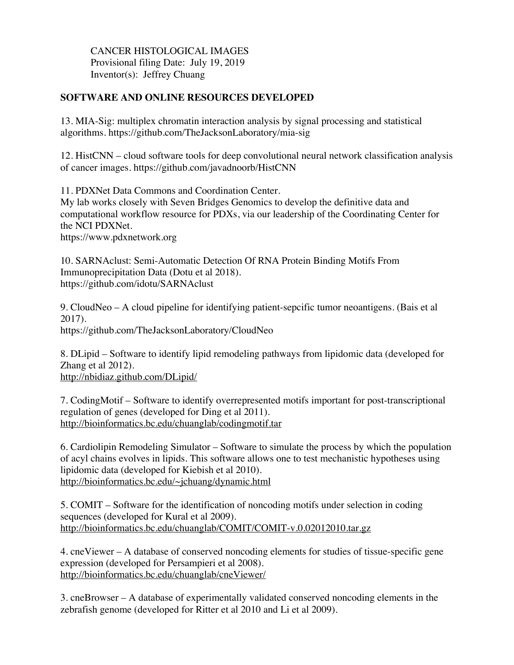CANCER HISTOLOGICAL IMAGES Provisional filing Date: July 19, 2019 Inventor(s): Jeffrey Chuang

# **SOFTWARE AND ONLINE RESOURCES DEVELOPED**

13. MIA-Sig: multiplex chromatin interaction analysis by signal processing and statistical algorithms. https://github.com/TheJacksonLaboratory/mia-sig

12. HistCNN – cloud software tools for deep convolutional neural network classification analysis of cancer images. https://github.com/javadnoorb/HistCNN

11. PDXNet Data Commons and Coordination Center.

My lab works closely with Seven Bridges Genomics to develop the definitive data and computational workflow resource for PDXs, via our leadership of the Coordinating Center for the NCI PDXNet.

https://www.pdxnetwork.org

10. SARNAclust: Semi-Automatic Detection Of RNA Protein Binding Motifs From Immunoprecipitation Data (Dotu et al 2018). https://github.com/idotu/SARNAclust

9. CloudNeo – A cloud pipeline for identifying patient-sepcific tumor neoantigens. (Bais et al 2017). https://github.com/TheJacksonLaboratory/CloudNeo

8. DLipid – Software to identify lipid remodeling pathways from lipidomic data (developed for Zhang et al 2012). http://nbidiaz.github.com/DLipid/

7. CodingMotif – Software to identify overrepresented motifs important for post-transcriptional regulation of genes (developed for Ding et al 2011). http://bioinformatics.bc.edu/chuanglab/codingmotif.tar

6. Cardiolipin Remodeling Simulator – Software to simulate the process by which the population of acyl chains evolves in lipids. This software allows one to test mechanistic hypotheses using lipidomic data (developed for Kiebish et al 2010). http://bioinformatics.bc.edu/~jchuang/dynamic.html

5. COMIT – Software for the identification of noncoding motifs under selection in coding sequences (developed for Kural et al 2009). http://bioinformatics.bc.edu/chuanglab/COMIT/COMIT-v.0.02012010.tar.gz

4. cneViewer – A database of conserved noncoding elements for studies of tissue-specific gene expression (developed for Persampieri et al 2008). http://bioinformatics.bc.edu/chuanglab/cneViewer/

3. cneBrowser – A database of experimentally validated conserved noncoding elements in the zebrafish genome (developed for Ritter et al 2010 and Li et al 2009).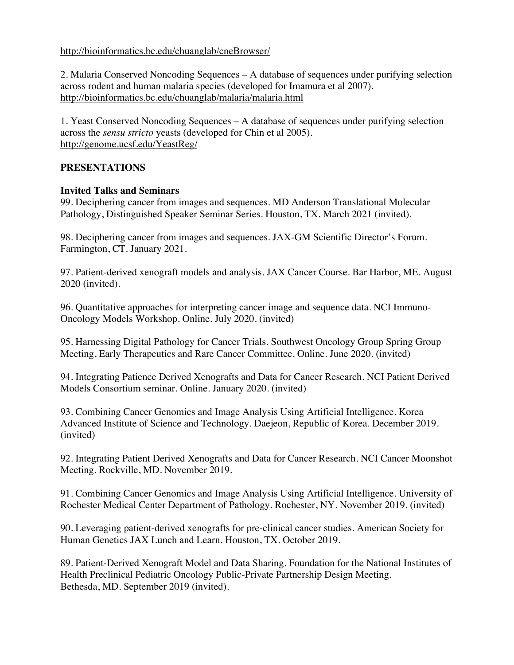http://bioinformatics.bc.edu/chuanglab/cneBrowser/

2. Malaria Conserved Noncoding Sequences – A database of sequences under purifying selection across rodent and human malaria species (developed for Imamura et al 2007). http://bioinformatics.bc.edu/chuanglab/malaria/malaria.html

1. Yeast Conserved Noncoding Sequences – A database of sequences under purifying selection across the *sensu stricto* yeasts (developed for Chin et al 2005). http://genome.ucsf.edu/YeastReg/

# **PRESENTATIONS**

### **Invited Talks and Seminars**

99. Deciphering cancer from images and sequences. MD Anderson Translational Molecular Pathology, Distinguished Speaker Seminar Series. Houston, TX. March 2021 (invited).

98. Deciphering cancer from images and sequences. JAX-GM Scientific Director's Forum. Farmington, CT. January 2021.

97. Patient-derived xenograft models and analysis. JAX Cancer Course. Bar Harbor, ME. August 2020 (invited).

96. Quantitative approaches for interpreting cancer image and sequence data. NCI Immuno-Oncology Models Workshop. Online. July 2020. (invited)

95. Harnessing Digital Pathology for Cancer Trials. Southwest Oncology Group Spring Group Meeting, Early Therapeutics and Rare Cancer Committee. Online. June 2020. (invited)

94. Integrating Patience Derived Xenografts and Data for Cancer Research. NCI Patient Derived Models Consortium seminar. Online. January 2020. (invited)

93. Combining Cancer Genomics and Image Analysis Using Artificial Intelligence. Korea Advanced Institute of Science and Technology. Daejeon, Republic of Korea. December 2019. (invited)

92. Integrating Patient Derived Xenografts and Data for Cancer Research. NCI Cancer Moonshot Meeting. Rockville, MD. November 2019.

91. Combining Cancer Genomics and Image Analysis Using Artificial Intelligence. University of Rochester Medical Center Department of Pathology. Rochester, NY. November 2019. (invited)

90. Leveraging patient-derived xenografts for pre-clinical cancer studies. American Society for Human Genetics JAX Lunch and Learn. Houston, TX. October 2019.

89. Patient-Derived Xenograft Model and Data Sharing. Foundation for the National Institutes of Health Preclinical Pediatric Oncology Public-Private Partnership Design Meeting. Bethesda, MD. September 2019 (invited).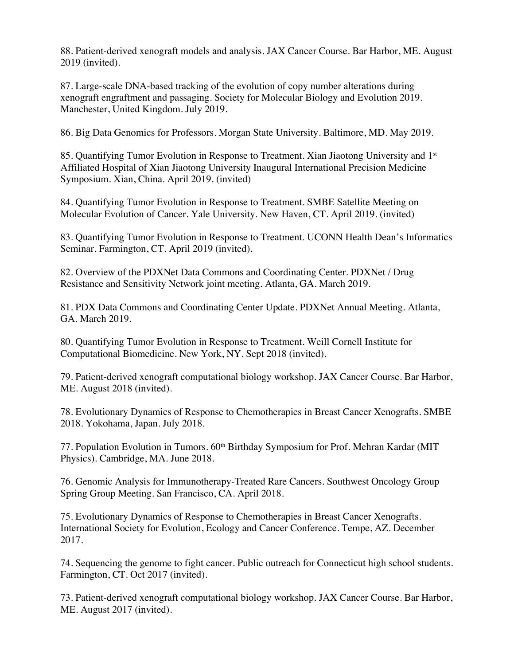88. Patient-derived xenograft models and analysis. JAX Cancer Course. Bar Harbor, ME. August 2019 (invited).

87. Large-scale DNA-based tracking of the evolution of copy number alterations during xenograft engraftment and passaging. Society for Molecular Biology and Evolution 2019. Manchester, United Kingdom. July 2019.

86. Big Data Genomics for Professors. Morgan State University. Baltimore, MD. May 2019.

85. Quantifying Tumor Evolution in Response to Treatment. Xian Jiaotong University and 1<sup>st</sup> Affiliated Hospital of Xian Jiaotong University Inaugural International Precision Medicine Symposium. Xian, China. April 2019. (invited)

84. Quantifying Tumor Evolution in Response to Treatment. SMBE Satellite Meeting on Molecular Evolution of Cancer. Yale University. New Haven, CT. April 2019. (invited)

83. Quantifying Tumor Evolution in Response to Treatment. UCONN Health Dean's Informatics Seminar. Farmington, CT. April 2019 (invited).

82. Overview of the PDXNet Data Commons and Coordinating Center. PDXNet / Drug Resistance and Sensitivity Network joint meeting. Atlanta, GA. March 2019.

81. PDX Data Commons and Coordinating Center Update. PDXNet Annual Meeting. Atlanta, GA. March 2019.

80. Quantifying Tumor Evolution in Response to Treatment. Weill Cornell Institute for Computational Biomedicine. New York, NY. Sept 2018 (invited).

79. Patient-derived xenograft computational biology workshop. JAX Cancer Course. Bar Harbor, ME. August 2018 (invited).

78. Evolutionary Dynamics of Response to Chemotherapies in Breast Cancer Xenografts. SMBE 2018. Yokohama, Japan. July 2018.

77. Population Evolution in Tumors. 60<sup>th</sup> Birthday Symposium for Prof. Mehran Kardar (MIT Physics). Cambridge, MA. June 2018.

76. Genomic Analysis for Immunotherapy-Treated Rare Cancers. Southwest Oncology Group Spring Group Meeting. San Francisco, CA. April 2018.

75. Evolutionary Dynamics of Response to Chemotherapies in Breast Cancer Xenografts. International Society for Evolution, Ecology and Cancer Conference. Tempe, AZ. December 2017.

74. Sequencing the genome to fight cancer. Public outreach for Connecticut high school students. Farmington, CT. Oct 2017 (invited).

73. Patient-derived xenograft computational biology workshop. JAX Cancer Course. Bar Harbor, ME. August 2017 (invited).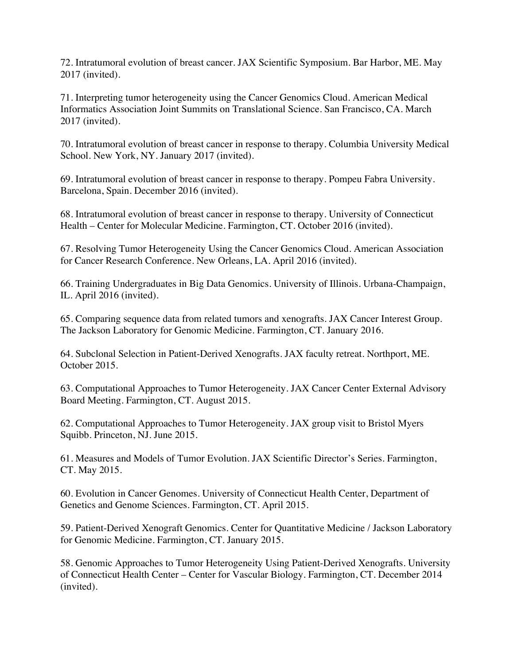72. Intratumoral evolution of breast cancer. JAX Scientific Symposium. Bar Harbor, ME. May 2017 (invited).

71. Interpreting tumor heterogeneity using the Cancer Genomics Cloud. American Medical Informatics Association Joint Summits on Translational Science. San Francisco, CA. March 2017 (invited).

70. Intratumoral evolution of breast cancer in response to therapy. Columbia University Medical School. New York, NY. January 2017 (invited).

69. Intratumoral evolution of breast cancer in response to therapy. Pompeu Fabra University. Barcelona, Spain. December 2016 (invited).

68. Intratumoral evolution of breast cancer in response to therapy. University of Connecticut Health – Center for Molecular Medicine. Farmington, CT. October 2016 (invited).

67. Resolving Tumor Heterogeneity Using the Cancer Genomics Cloud. American Association for Cancer Research Conference. New Orleans, LA. April 2016 (invited).

66. Training Undergraduates in Big Data Genomics. University of Illinois. Urbana-Champaign, IL. April 2016 (invited).

65. Comparing sequence data from related tumors and xenografts. JAX Cancer Interest Group. The Jackson Laboratory for Genomic Medicine. Farmington, CT. January 2016.

64. Subclonal Selection in Patient-Derived Xenografts. JAX faculty retreat. Northport, ME. October 2015.

63. Computational Approaches to Tumor Heterogeneity. JAX Cancer Center External Advisory Board Meeting. Farmington, CT. August 2015.

62. Computational Approaches to Tumor Heterogeneity. JAX group visit to Bristol Myers Squibb. Princeton, NJ. June 2015.

61. Measures and Models of Tumor Evolution. JAX Scientific Director's Series. Farmington, CT. May 2015.

60. Evolution in Cancer Genomes. University of Connecticut Health Center, Department of Genetics and Genome Sciences. Farmington, CT. April 2015.

59. Patient-Derived Xenograft Genomics. Center for Quantitative Medicine / Jackson Laboratory for Genomic Medicine. Farmington, CT. January 2015.

58. Genomic Approaches to Tumor Heterogeneity Using Patient-Derived Xenografts. University of Connecticut Health Center – Center for Vascular Biology. Farmington, CT. December 2014 (invited).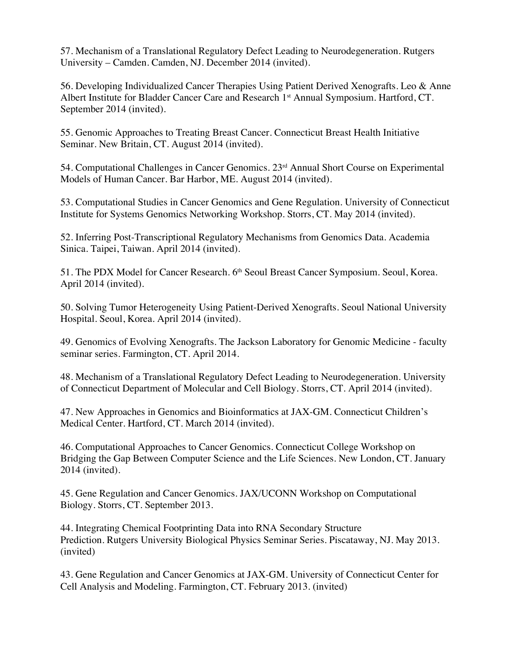57. Mechanism of a Translational Regulatory Defect Leading to Neurodegeneration. Rutgers University – Camden. Camden, NJ. December 2014 (invited).

56. Developing Individualized Cancer Therapies Using Patient Derived Xenografts. Leo & Anne Albert Institute for Bladder Cancer Care and Research 1<sup>st</sup> Annual Symposium. Hartford, CT. September 2014 (invited).

55. Genomic Approaches to Treating Breast Cancer. Connecticut Breast Health Initiative Seminar. New Britain, CT. August 2014 (invited).

54. Computational Challenges in Cancer Genomics. 23<sup>rd</sup> Annual Short Course on Experimental Models of Human Cancer. Bar Harbor, ME. August 2014 (invited).

53. Computational Studies in Cancer Genomics and Gene Regulation. University of Connecticut Institute for Systems Genomics Networking Workshop. Storrs, CT. May 2014 (invited).

52. Inferring Post-Transcriptional Regulatory Mechanisms from Genomics Data. Academia Sinica. Taipei, Taiwan. April 2014 (invited).

51. The PDX Model for Cancer Research. 6<sup>th</sup> Seoul Breast Cancer Symposium. Seoul, Korea. April 2014 (invited).

50. Solving Tumor Heterogeneity Using Patient-Derived Xenografts. Seoul National University Hospital. Seoul, Korea. April 2014 (invited).

49. Genomics of Evolving Xenografts. The Jackson Laboratory for Genomic Medicine - faculty seminar series. Farmington, CT. April 2014.

48. Mechanism of a Translational Regulatory Defect Leading to Neurodegeneration. University of Connecticut Department of Molecular and Cell Biology. Storrs, CT. April 2014 (invited).

47. New Approaches in Genomics and Bioinformatics at JAX-GM. Connecticut Children's Medical Center. Hartford, CT. March 2014 (invited).

46. Computational Approaches to Cancer Genomics. Connecticut College Workshop on Bridging the Gap Between Computer Science and the Life Sciences. New London, CT. January 2014 (invited).

45. Gene Regulation and Cancer Genomics. JAX/UCONN Workshop on Computational Biology. Storrs, CT. September 2013.

44. Integrating Chemical Footprinting Data into RNA Secondary Structure Prediction. Rutgers University Biological Physics Seminar Series. Piscataway, NJ. May 2013. (invited)

43. Gene Regulation and Cancer Genomics at JAX-GM. University of Connecticut Center for Cell Analysis and Modeling. Farmington, CT. February 2013. (invited)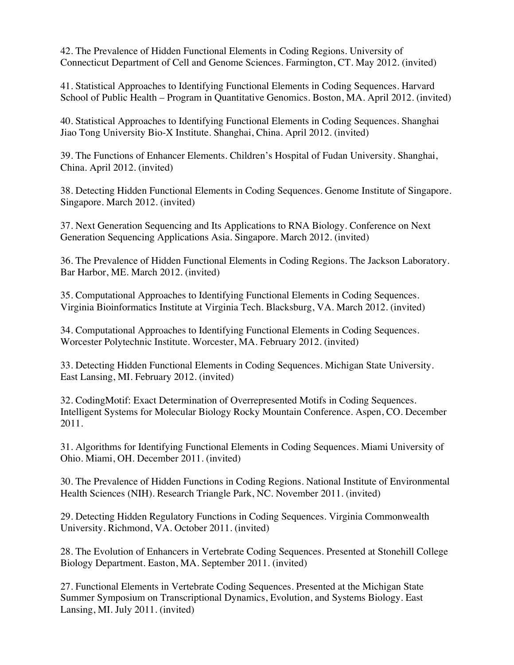42. The Prevalence of Hidden Functional Elements in Coding Regions. University of Connecticut Department of Cell and Genome Sciences. Farmington, CT. May 2012. (invited)

41. Statistical Approaches to Identifying Functional Elements in Coding Sequences. Harvard School of Public Health – Program in Quantitative Genomics. Boston, MA. April 2012. (invited)

40. Statistical Approaches to Identifying Functional Elements in Coding Sequences. Shanghai Jiao Tong University Bio-X Institute. Shanghai, China. April 2012. (invited)

39. The Functions of Enhancer Elements. Children's Hospital of Fudan University. Shanghai, China. April 2012. (invited)

38. Detecting Hidden Functional Elements in Coding Sequences. Genome Institute of Singapore. Singapore. March 2012. (invited)

37. Next Generation Sequencing and Its Applications to RNA Biology. Conference on Next Generation Sequencing Applications Asia. Singapore. March 2012. (invited)

36. The Prevalence of Hidden Functional Elements in Coding Regions. The Jackson Laboratory. Bar Harbor, ME. March 2012. (invited)

35. Computational Approaches to Identifying Functional Elements in Coding Sequences. Virginia Bioinformatics Institute at Virginia Tech. Blacksburg, VA. March 2012. (invited)

34. Computational Approaches to Identifying Functional Elements in Coding Sequences. Worcester Polytechnic Institute. Worcester, MA. February 2012. (invited)

33. Detecting Hidden Functional Elements in Coding Sequences. Michigan State University. East Lansing, MI. February 2012. (invited)

32. CodingMotif: Exact Determination of Overrepresented Motifs in Coding Sequences. Intelligent Systems for Molecular Biology Rocky Mountain Conference. Aspen, CO. December 2011.

31. Algorithms for Identifying Functional Elements in Coding Sequences. Miami University of Ohio. Miami, OH. December 2011. (invited)

30. The Prevalence of Hidden Functions in Coding Regions. National Institute of Environmental Health Sciences (NIH). Research Triangle Park, NC. November 2011. (invited)

29. Detecting Hidden Regulatory Functions in Coding Sequences. Virginia Commonwealth University. Richmond, VA. October 2011. (invited)

28. The Evolution of Enhancers in Vertebrate Coding Sequences. Presented at Stonehill College Biology Department. Easton, MA. September 2011. (invited)

27. Functional Elements in Vertebrate Coding Sequences. Presented at the Michigan State Summer Symposium on Transcriptional Dynamics, Evolution, and Systems Biology. East Lansing, MI. July 2011. (invited)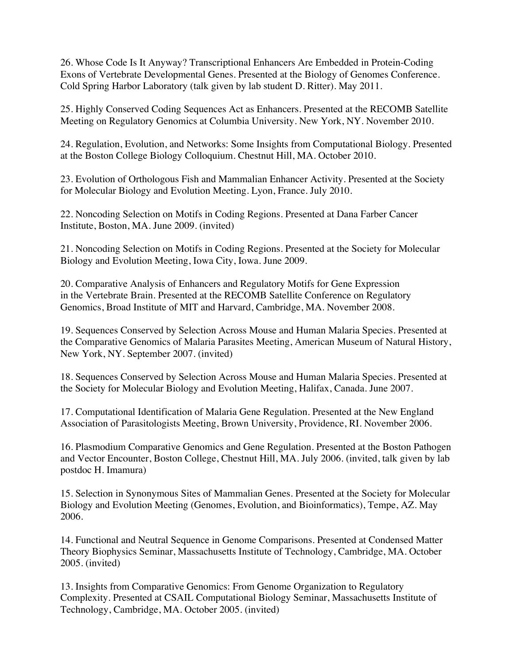26. Whose Code Is It Anyway? Transcriptional Enhancers Are Embedded in Protein-Coding Exons of Vertebrate Developmental Genes. Presented at the Biology of Genomes Conference. Cold Spring Harbor Laboratory (talk given by lab student D. Ritter). May 2011.

25. Highly Conserved Coding Sequences Act as Enhancers. Presented at the RECOMB Satellite Meeting on Regulatory Genomics at Columbia University. New York, NY. November 2010.

24. Regulation, Evolution, and Networks: Some Insights from Computational Biology. Presented at the Boston College Biology Colloquium. Chestnut Hill, MA. October 2010.

23. Evolution of Orthologous Fish and Mammalian Enhancer Activity. Presented at the Society for Molecular Biology and Evolution Meeting. Lyon, France. July 2010.

22. Noncoding Selection on Motifs in Coding Regions. Presented at Dana Farber Cancer Institute, Boston, MA. June 2009. (invited)

21. Noncoding Selection on Motifs in Coding Regions. Presented at the Society for Molecular Biology and Evolution Meeting, Iowa City, Iowa. June 2009.

20. Comparative Analysis of Enhancers and Regulatory Motifs for Gene Expression in the Vertebrate Brain. Presented at the RECOMB Satellite Conference on Regulatory Genomics, Broad Institute of MIT and Harvard, Cambridge, MA. November 2008.

19. Sequences Conserved by Selection Across Mouse and Human Malaria Species. Presented at the Comparative Genomics of Malaria Parasites Meeting, American Museum of Natural History, New York, NY. September 2007. (invited)

18. Sequences Conserved by Selection Across Mouse and Human Malaria Species. Presented at the Society for Molecular Biology and Evolution Meeting, Halifax, Canada. June 2007.

17. Computational Identification of Malaria Gene Regulation. Presented at the New England Association of Parasitologists Meeting, Brown University, Providence, RI. November 2006.

16. Plasmodium Comparative Genomics and Gene Regulation. Presented at the Boston Pathogen and Vector Encounter, Boston College, Chestnut Hill, MA. July 2006. (invited, talk given by lab postdoc H. Imamura)

15. Selection in Synonymous Sites of Mammalian Genes. Presented at the Society for Molecular Biology and Evolution Meeting (Genomes, Evolution, and Bioinformatics), Tempe, AZ. May 2006.

14. Functional and Neutral Sequence in Genome Comparisons. Presented at Condensed Matter Theory Biophysics Seminar, Massachusetts Institute of Technology, Cambridge, MA. October 2005. (invited)

13. Insights from Comparative Genomics: From Genome Organization to Regulatory Complexity. Presented at CSAIL Computational Biology Seminar, Massachusetts Institute of Technology, Cambridge, MA. October 2005. (invited)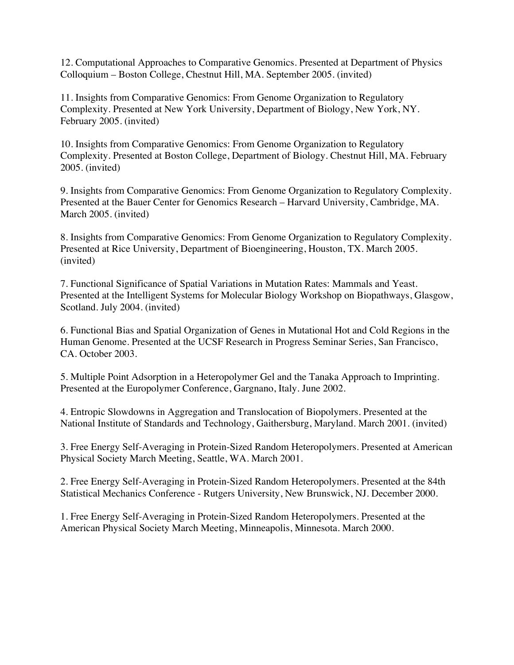12. Computational Approaches to Comparative Genomics. Presented at Department of Physics Colloquium – Boston College, Chestnut Hill, MA. September 2005. (invited)

11. Insights from Comparative Genomics: From Genome Organization to Regulatory Complexity. Presented at New York University, Department of Biology, New York, NY. February 2005. (invited)

10. Insights from Comparative Genomics: From Genome Organization to Regulatory Complexity. Presented at Boston College, Department of Biology. Chestnut Hill, MA. February 2005. (invited)

9. Insights from Comparative Genomics: From Genome Organization to Regulatory Complexity. Presented at the Bauer Center for Genomics Research – Harvard University, Cambridge, MA. March 2005. (invited)

8. Insights from Comparative Genomics: From Genome Organization to Regulatory Complexity. Presented at Rice University, Department of Bioengineering, Houston, TX. March 2005. (invited)

7. Functional Significance of Spatial Variations in Mutation Rates: Mammals and Yeast. Presented at the Intelligent Systems for Molecular Biology Workshop on Biopathways, Glasgow, Scotland. July 2004. (invited)

6. Functional Bias and Spatial Organization of Genes in Mutational Hot and Cold Regions in the Human Genome. Presented at the UCSF Research in Progress Seminar Series, San Francisco, CA. October 2003.

5. Multiple Point Adsorption in a Heteropolymer Gel and the Tanaka Approach to Imprinting. Presented at the Europolymer Conference, Gargnano, Italy. June 2002.

4. Entropic Slowdowns in Aggregation and Translocation of Biopolymers. Presented at the National Institute of Standards and Technology, Gaithersburg, Maryland. March 2001. (invited)

3. Free Energy Self-Averaging in Protein-Sized Random Heteropolymers. Presented at American Physical Society March Meeting, Seattle, WA. March 2001.

2. Free Energy Self-Averaging in Protein-Sized Random Heteropolymers. Presented at the 84th Statistical Mechanics Conference - Rutgers University, New Brunswick, NJ. December 2000.

1. Free Energy Self-Averaging in Protein-Sized Random Heteropolymers. Presented at the American Physical Society March Meeting, Minneapolis, Minnesota. March 2000.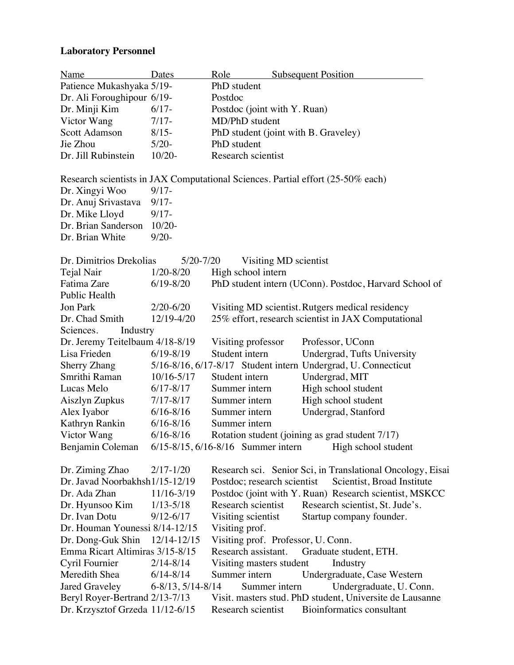# **Laboratory Personnel**

| Name                                                                            | Dates                      | Role                                        |  | <b>Subsequent Position</b> |                                                               |
|---------------------------------------------------------------------------------|----------------------------|---------------------------------------------|--|----------------------------|---------------------------------------------------------------|
| Patience Mukashyaka 5/19-                                                       |                            | PhD student                                 |  |                            |                                                               |
| Dr. Ali Foroughipour 6/19-                                                      |                            | Postdoc                                     |  |                            |                                                               |
| Dr. Minji Kim                                                                   | $6/17-$                    | Postdoc (joint with Y. Ruan)                |  |                            |                                                               |
| Victor Wang                                                                     | $7/17-$                    | MD/PhD student                              |  |                            |                                                               |
| <b>Scott Adamson</b>                                                            | $8/15 -$                   | PhD student (joint with B. Graveley)        |  |                            |                                                               |
| Jie Zhou                                                                        | $5/20-$                    | PhD student                                 |  |                            |                                                               |
| Dr. Jill Rubinstein                                                             | $10/20-$                   | Research scientist                          |  |                            |                                                               |
| Research scientists in JAX Computational Sciences. Partial effort (25-50% each) |                            |                                             |  |                            |                                                               |
| Dr. Xingyi Woo                                                                  | $9/17 -$                   |                                             |  |                            |                                                               |
| Dr. Anuj Srivastava                                                             | $9/17 -$                   |                                             |  |                            |                                                               |
| Dr. Mike Lloyd                                                                  | $9/17 -$                   |                                             |  |                            |                                                               |
| Dr. Brian Sanderson                                                             | $10/20-$                   |                                             |  |                            |                                                               |
| Dr. Brian White                                                                 | $9/20 -$                   |                                             |  |                            |                                                               |
| Dr. Dimitrios Drekolias                                                         | $5/20 - 7/20$              | Visiting MD scientist                       |  |                            |                                                               |
| Tejal Nair                                                                      | $1/20 - 8/20$              | High school intern                          |  |                            |                                                               |
| Fatima Zare                                                                     | $6/19 - 8/20$              |                                             |  |                            | PhD student intern (UConn). Postdoc, Harvard School of        |
| Public Health                                                                   |                            |                                             |  |                            |                                                               |
| <b>Jon Park</b>                                                                 | $2/20 - 6/20$              |                                             |  |                            | Visiting MD scientist. Rutgers medical residency              |
| Dr. Chad Smith                                                                  | 12/19-4/20                 |                                             |  |                            | 25% effort, research scientist in JAX Computational           |
| Sciences.<br>Industry                                                           |                            |                                             |  |                            |                                                               |
| Dr. Jeremy Teitelbaum 4/18-8/19                                                 |                            | Visiting professor                          |  |                            | Professor, UConn                                              |
| Lisa Frieden                                                                    | $6/19 - 8/19$              | Student intern                              |  |                            | Undergrad, Tufts University                                   |
| <b>Sherry Zhang</b>                                                             |                            |                                             |  |                            | 5/16-8/16, 6/17-8/17 Student intern Undergrad, U. Connecticut |
| Smrithi Raman                                                                   | $10/16 - 5/17$             | Student intern                              |  |                            | Undergrad, MIT                                                |
| Lucas Melo                                                                      | $6/17 - 8/17$              | Summer intern                               |  |                            | High school student                                           |
| Aiszlyn Zupkus                                                                  | $7/17 - 8/17$              | Summer intern                               |  |                            | High school student                                           |
| Alex Iyabor                                                                     | $6/16 - 8/16$              | Summer intern                               |  |                            | Undergrad, Stanford                                           |
| Kathryn Rankin                                                                  | $6/16 - 8/16$              | Summer intern                               |  |                            |                                                               |
| Victor Wang                                                                     | $6/16 - 8/16$              |                                             |  |                            | Rotation student (joining as grad student 7/17)               |
| Benjamin Coleman                                                                |                            | $6/15 - 8/15$ , $6/16 - 8/16$ Summer intern |  |                            | High school student                                           |
| Dr. Ziming Zhao                                                                 | $2/17 - 1/20$              |                                             |  |                            | Research sci. Senior Sci, in Translational Oncology, Eisai    |
| Dr. Javad Noorbakhsh1/15-12/19                                                  |                            | Postdoc; research scientist                 |  |                            | Scientist, Broad Institute                                    |
| Dr. Ada Zhan                                                                    | 11/16-3/19                 |                                             |  |                            | Postdoc (joint with Y. Ruan) Research scientist, MSKCC        |
| Dr. Hyunsoo Kim                                                                 | $1/13 - 5/18$              | Research scientist                          |  |                            | Research scientist, St. Jude's.                               |
| Dr. Ivan Dotu                                                                   | $9/12 - 6/17$              | Visiting scientist                          |  |                            | Startup company founder.                                      |
| Dr. Houman Younessi 8/14-12/15                                                  |                            | Visiting prof.                              |  |                            |                                                               |
| Dr. Dong-Guk Shin                                                               | 12/14-12/15                | Visiting prof. Professor, U. Conn.          |  |                            |                                                               |
| Emma Ricart Altimiras 3/15-8/15                                                 |                            | Research assistant.                         |  |                            | Graduate student, ETH.                                        |
| Cyril Fournier                                                                  | $2/14 - 8/14$              | Visiting masters student                    |  |                            | Industry                                                      |
| Meredith Shea                                                                   | $6/14 - 8/14$              | Summer intern                               |  |                            | Undergraduate, Case Western                                   |
| Jared Graveley                                                                  | $6 - 8/13$ , $5/14 - 8/14$ | Summer intern                               |  |                            | Undergraduate, U. Conn.                                       |
| Beryl Royer-Bertrand 2/13-7/13                                                  |                            |                                             |  |                            | Visit. masters stud. PhD student, Universite de Lausanne      |
| Dr. Krzysztof Grzeda 11/12-6/15                                                 |                            | Research scientist                          |  |                            | Bioinformatics consultant                                     |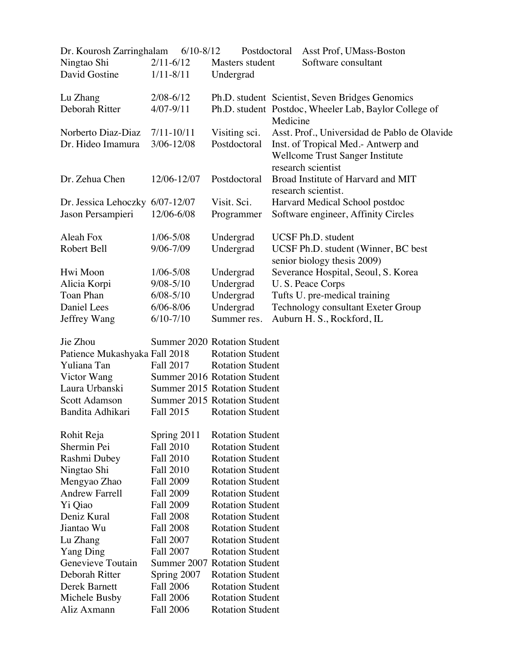| Dr. Kourosh Zarringhalam | $6/10-8/12$    | Postdoctoral    | Asst Prof, UMass-Boston                                            |
|--------------------------|----------------|-----------------|--------------------------------------------------------------------|
| Ningtao Shi              | $2/11 - 6/12$  | Masters student | Software consultant                                                |
| David Gostine            | $1/11 - 8/11$  | Undergrad       |                                                                    |
| Lu Zhang                 | $2/08 - 6/12$  |                 | Ph.D. student Scientist, Seven Bridges Genomics                    |
| Deborah Ritter           | $4/07 - 9/11$  |                 | Ph.D. student Postdoc, Wheeler Lab, Baylor College of<br>Medicine  |
| Norberto Diaz-Diaz       | $7/11 - 10/11$ | Visiting sci.   | Asst. Prof., Universidad de Pablo de Olavide                       |
| Dr. Hideo Imamura        | $3/06 - 12/08$ | Postdoctoral    | Inst. of Tropical Med.- Antwerp and                                |
|                          |                |                 | <b>Wellcome Trust Sanger Institute</b><br>research scientist       |
| Dr. Zehua Chen           | 12/06-12/07    | Postdoctoral    | Broad Institute of Harvard and MIT<br>research scientist.          |
| Dr. Jessica Lehoczky     | $6/07 - 12/07$ | Visit. Sci.     | Harvard Medical School postdoc                                     |
| Jason Persampieri        | 12/06-6/08     | Programmer      | Software engineer, Affinity Circles                                |
| Aleah Fox                | $1/06 - 5/08$  | Undergrad       | UCSF Ph.D. student                                                 |
| Robert Bell              | 9/06-7/09      | Undergrad       | UCSF Ph.D. student (Winner, BC best<br>senior biology thesis 2009) |
| Hwi Moon                 | $1/06 - 5/08$  | Undergrad       | Severance Hospital, Seoul, S. Korea                                |
| Alicia Korpi             | $9/08 - 5/10$  | Undergrad       | U.S. Peace Corps                                                   |
| Toan Phan                | $6/08 - 5/10$  | Undergrad       | Tufts U. pre-medical training                                      |
| Daniel Lees              | $6/06 - 8/06$  | Undergrad       | <b>Technology consultant Exeter Group</b>                          |
| Jeffrey Wang             | $6/10-7/10$    | Summer res.     | Auburn H. S., Rockford, IL                                         |

| Jie Zhou                      |                  | <b>Summer 2020 Rotation Student</b> |
|-------------------------------|------------------|-------------------------------------|
| Patience Mukashyaka Fall 2018 |                  | <b>Rotation Student</b>             |
| Yuliana Tan                   | <b>Fall 2017</b> | <b>Rotation Student</b>             |
| Victor Wang                   |                  | <b>Summer 2016 Rotation Student</b> |
| Laura Urbanski                |                  | <b>Summer 2015 Rotation Student</b> |
| <b>Scott Adamson</b>          |                  | <b>Summer 2015 Rotation Student</b> |
| Bandita Adhikari              | Fall 2015        | <b>Rotation Student</b>             |
|                               |                  |                                     |
| Rohit Reja                    | Spring 2011      | <b>Rotation Student</b>             |
| Shermin Pei                   | <b>Fall 2010</b> | <b>Rotation Student</b>             |
| Rashmi Dubey                  | <b>Fall 2010</b> | <b>Rotation Student</b>             |
| Ningtao Shi                   | <b>Fall 2010</b> | <b>Rotation Student</b>             |
| Mengyao Zhao                  | <b>Fall 2009</b> | <b>Rotation Student</b>             |
| <b>Andrew Farrell</b>         | <b>Fall 2009</b> | <b>Rotation Student</b>             |
| Yi Qiao                       | <b>Fall 2009</b> | <b>Rotation Student</b>             |
| Deniz Kural                   | <b>Fall 2008</b> | <b>Rotation Student</b>             |
| Jiantao Wu                    | <b>Fall 2008</b> | <b>Rotation Student</b>             |
| Lu Zhang                      | <b>Fall 2007</b> | <b>Rotation Student</b>             |
| <b>Yang Ding</b>              | <b>Fall 2007</b> | <b>Rotation Student</b>             |
| Genevieve Toutain             | Summer 2007      | <b>Rotation Student</b>             |
| Deborah Ritter                | Spring 2007      | <b>Rotation Student</b>             |
| Derek Barnett                 | <b>Fall 2006</b> | <b>Rotation Student</b>             |
| Michele Busby                 | <b>Fall 2006</b> | <b>Rotation Student</b>             |
| Aliz Axmann                   | <b>Fall 2006</b> | <b>Rotation Student</b>             |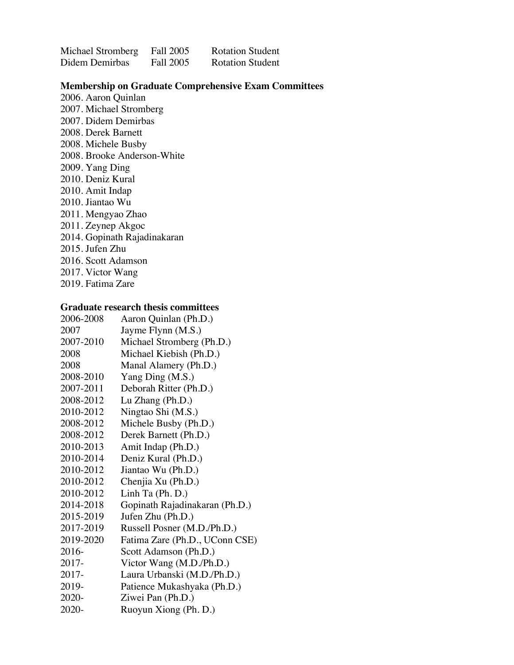| Michael Stromberg | Fall 2005 | <b>Rotation Student</b> |
|-------------------|-----------|-------------------------|
| Didem Demirbas    | Fall 2005 | <b>Rotation Student</b> |

### **Membership on Graduate Comprehensive Exam Committees**

2006. Aaron Quinlan 2007. Michael Stromberg 2007. Didem Demirbas 2008. Derek Barnett 2008. Michele Busby 2008. Brooke Anderson-White 2009. Yang Ding 2010. Deniz Kural 2010. Amit Indap 2010. Jiantao Wu 2011. Mengyao Zhao 2011. Zeynep Akgoc 2014. Gopinath Rajadinakaran 2015. Jufen Zhu 2016. Scott Adamson 2017. Victor Wang 2019. Fatima Zare

### **Graduate research thesis committees**

| 2006-2008 | Aaron Quinlan (Ph.D.)          |
|-----------|--------------------------------|
| 2007      | Jayme Flynn (M.S.)             |
| 2007-2010 | Michael Stromberg (Ph.D.)      |
| 2008      | Michael Kiebish (Ph.D.)        |
| 2008      | Manal Alamery (Ph.D.)          |
| 2008-2010 | Yang Ding (M.S.)               |
| 2007-2011 | Deborah Ritter (Ph.D.)         |
| 2008-2012 | Lu Zhang (Ph.D.)               |
| 2010-2012 | Ningtao Shi (M.S.)             |
| 2008-2012 | Michele Busby (Ph.D.)          |
| 2008-2012 | Derek Barnett (Ph.D.)          |
| 2010-2013 | Amit Indap (Ph.D.)             |
| 2010-2014 | Deniz Kural (Ph.D.)            |
| 2010-2012 | Jiantao Wu (Ph.D.)             |
| 2010-2012 | Chenjia Xu (Ph.D.)             |
| 2010-2012 | Linh Ta $(Ph.D.)$              |
| 2014-2018 | Gopinath Rajadinakaran (Ph.D.) |
| 2015-2019 | Jufen Zhu (Ph.D.)              |
| 2017-2019 | Russell Posner (M.D./Ph.D.)    |
| 2019-2020 | Fatima Zare (Ph.D., UConn CSE) |
| 2016-     | Scott Adamson (Ph.D.)          |
| 2017-     | Victor Wang (M.D./Ph.D.)       |
| 2017-     | Laura Urbanski (M.D./Ph.D.)    |
| 2019-     | Patience Mukashyaka (Ph.D.)    |
| 2020-     | Ziwei Pan (Ph.D.)              |
| 2020-     | Ruoyun Xiong (Ph. D.)          |
|           |                                |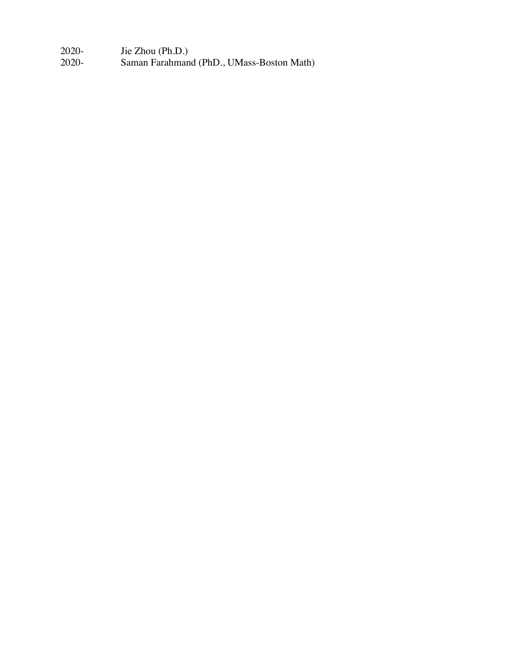2020- Jie Zhou (Ph.D.)

Saman Farahmand (PhD., UMass-Boston Math)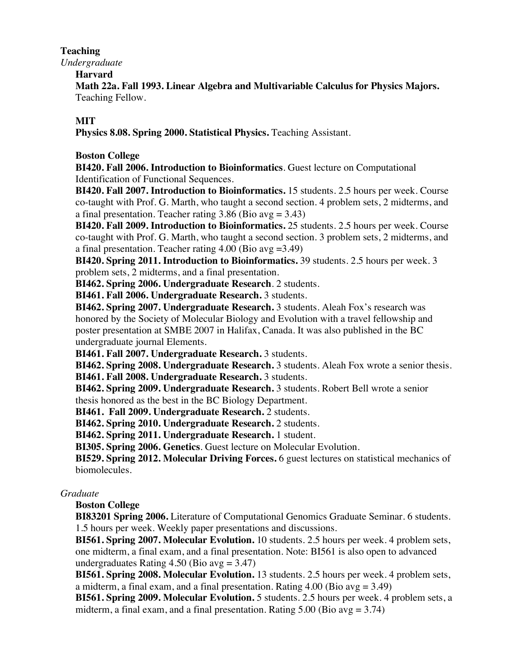## **Teaching**

*Undergraduate*

**Harvard**

**Math 22a. Fall 1993. Linear Algebra and Multivariable Calculus for Physics Majors.** Teaching Fellow.

# **MIT**

**Physics 8.08. Spring 2000. Statistical Physics.** Teaching Assistant.

# **Boston College**

**BI420. Fall 2006. Introduction to Bioinformatics**. Guest lecture on Computational Identification of Functional Sequences.

**BI420. Fall 2007. Introduction to Bioinformatics.** 15 students. 2.5 hours per week. Course co-taught with Prof. G. Marth, who taught a second section. 4 problem sets, 2 midterms, and a final presentation. Teacher rating  $3.86$  (Bio avg =  $3.43$ )

**BI420. Fall 2009. Introduction to Bioinformatics.** 25 students. 2.5 hours per week. Course co-taught with Prof. G. Marth, who taught a second section. 3 problem sets, 2 midterms, and a final presentation. Teacher rating  $4.00$  (Bio avg = 3.49)

**BI420. Spring 2011. Introduction to Bioinformatics.** 39 students. 2.5 hours per week. 3 problem sets, 2 midterms, and a final presentation.

**BI462. Spring 2006. Undergraduate Research**. 2 students.

**BI461. Fall 2006. Undergraduate Research.** 3 students.

**BI462. Spring 2007. Undergraduate Research.** 3 students. Aleah Fox's research was honored by the Society of Molecular Biology and Evolution with a travel fellowship and poster presentation at SMBE 2007 in Halifax, Canada. It was also published in the BC undergraduate journal Elements.

**BI461. Fall 2007. Undergraduate Research.** 3 students.

**BI462. Spring 2008. Undergraduate Research.** 3 students. Aleah Fox wrote a senior thesis.

**BI461. Fall 2008. Undergraduate Research.** 3 students.

**BI462. Spring 2009. Undergraduate Research.** 3 students. Robert Bell wrote a senior

thesis honored as the best in the BC Biology Department.

**BI461. Fall 2009. Undergraduate Research.** 2 students.

**BI462. Spring 2010. Undergraduate Research.** 2 students.

**BI462. Spring 2011. Undergraduate Research.** 1 student.

**BI305. Spring 2006. Genetics**. Guest lecture on Molecular Evolution.

**BI529. Spring 2012. Molecular Driving Forces.** 6 guest lectures on statistical mechanics of biomolecules.

# *Graduate*

**Boston College**

**BI83201 Spring 2006.** Literature of Computational Genomics Graduate Seminar. 6 students. 1.5 hours per week. Weekly paper presentations and discussions.

**BI561. Spring 2007. Molecular Evolution.** 10 students. 2.5 hours per week. 4 problem sets, one midterm, a final exam, and a final presentation. Note: BI561 is also open to advanced undergraduates Rating  $4.50$  (Bio avg = 3.47)

**BI561. Spring 2008. Molecular Evolution.** 13 students. 2.5 hours per week. 4 problem sets, a midterm, a final exam, and a final presentation. Rating  $4.00$  (Bio avg = 3.49)

**BI561. Spring 2009. Molecular Evolution.** 5 students. 2.5 hours per week. 4 problem sets, a midterm, a final exam, and a final presentation. Rating  $5.00$  (Bio avg = 3.74)